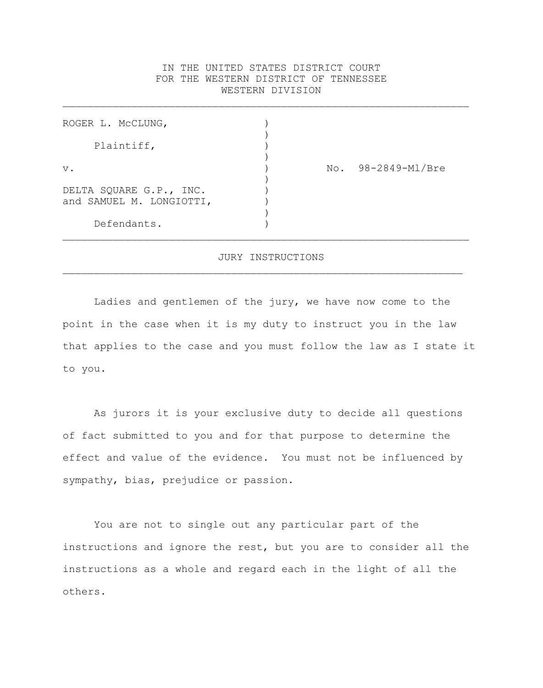# IN THE UNITED STATES DISTRICT COURT FOR THE WESTERN DISTRICT OF TENNESSEE WESTERN DIVISION

 $\mathcal{L}_\text{max} = \mathcal{L}_\text{max} = \mathcal{L}_\text{max} = \mathcal{L}_\text{max} = \mathcal{L}_\text{max} = \mathcal{L}_\text{max} = \mathcal{L}_\text{max} = \mathcal{L}_\text{max} = \mathcal{L}_\text{max} = \mathcal{L}_\text{max} = \mathcal{L}_\text{max} = \mathcal{L}_\text{max} = \mathcal{L}_\text{max} = \mathcal{L}_\text{max} = \mathcal{L}_\text{max} = \mathcal{L}_\text{max} = \mathcal{L}_\text{max} = \mathcal{L}_\text{max} = \mathcal{$ 

| ROGER L. MCCLUNG,                                   |     |                |
|-----------------------------------------------------|-----|----------------|
| Plaintiff,                                          |     |                |
| $V$ .                                               | No. | 98-2849-Ml/Bre |
| DELTA SQUARE G.P., INC.<br>and SAMUEL M. LONGIOTTI, |     |                |
| Defendants.                                         |     |                |

#### JURY INSTRUCTIONS

 $\mathcal{L}_\text{max} = \mathcal{L}_\text{max} = \mathcal{L}_\text{max} = \mathcal{L}_\text{max} = \mathcal{L}_\text{max} = \mathcal{L}_\text{max} = \mathcal{L}_\text{max} = \mathcal{L}_\text{max} = \mathcal{L}_\text{max} = \mathcal{L}_\text{max} = \mathcal{L}_\text{max} = \mathcal{L}_\text{max} = \mathcal{L}_\text{max} = \mathcal{L}_\text{max} = \mathcal{L}_\text{max} = \mathcal{L}_\text{max} = \mathcal{L}_\text{max} = \mathcal{L}_\text{max} = \mathcal{$ 

Ladies and gentlemen of the jury, we have now come to the point in the case when it is my duty to instruct you in the law that applies to the case and you must follow the law as I state it to you.

As jurors it is your exclusive duty to decide all questions of fact submitted to you and for that purpose to determine the effect and value of the evidence. You must not be influenced by sympathy, bias, prejudice or passion.

You are not to single out any particular part of the instructions and ignore the rest, but you are to consider all the instructions as a whole and regard each in the light of all the others.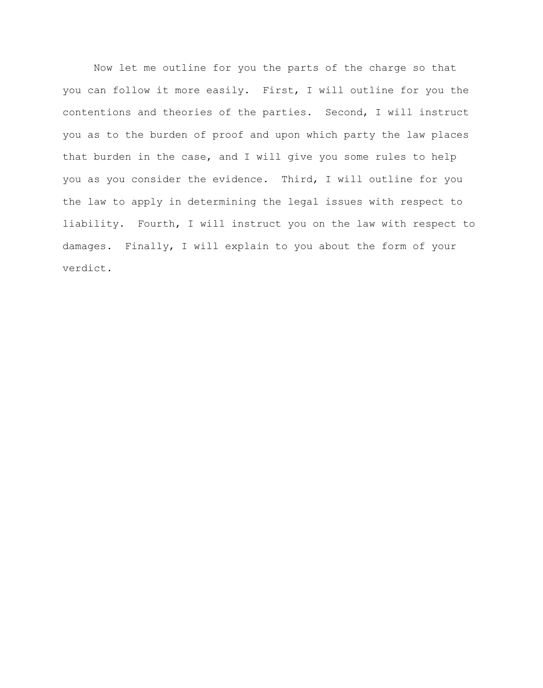Now let me outline for you the parts of the charge so that you can follow it more easily. First, I will outline for you the contentions and theories of the parties. Second, I will instruct you as to the burden of proof and upon which party the law places that burden in the case, and I will give you some rules to help you as you consider the evidence. Third, I will outline for you the law to apply in determining the legal issues with respect to liability. Fourth, I will instruct you on the law with respect to damages. Finally, I will explain to you about the form of your verdict.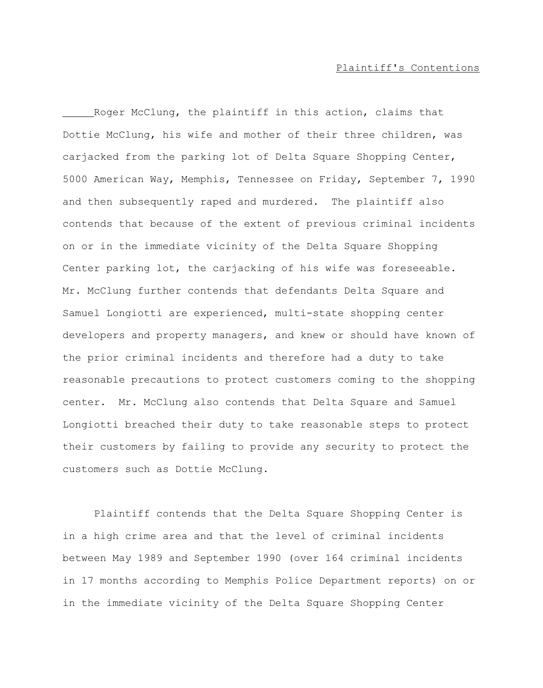#### Plaintiff's Contentions

Roger McClung, the plaintiff in this action, claims that Dottie McClung, his wife and mother of their three children, was carjacked from the parking lot of Delta Square Shopping Center, 5000 American Way, Memphis, Tennessee on Friday, September 7, 1990 and then subsequently raped and murdered. The plaintiff also contends that because of the extent of previous criminal incidents on or in the immediate vicinity of the Delta Square Shopping Center parking lot, the carjacking of his wife was foreseeable. Mr. McClung further contends that defendants Delta Square and Samuel Longiotti are experienced, multi-state shopping center developers and property managers, and knew or should have known of the prior criminal incidents and therefore had a duty to take reasonable precautions to protect customers coming to the shopping center. Mr. McClung also contends that Delta Square and Samuel Longiotti breached their duty to take reasonable steps to protect their customers by failing to provide any security to protect the customers such as Dottie McClung.

Plaintiff contends that the Delta Square Shopping Center is in a high crime area and that the level of criminal incidents between May 1989 and September 1990 (over 164 criminal incidents in 17 months according to Memphis Police Department reports) on or in the immediate vicinity of the Delta Square Shopping Center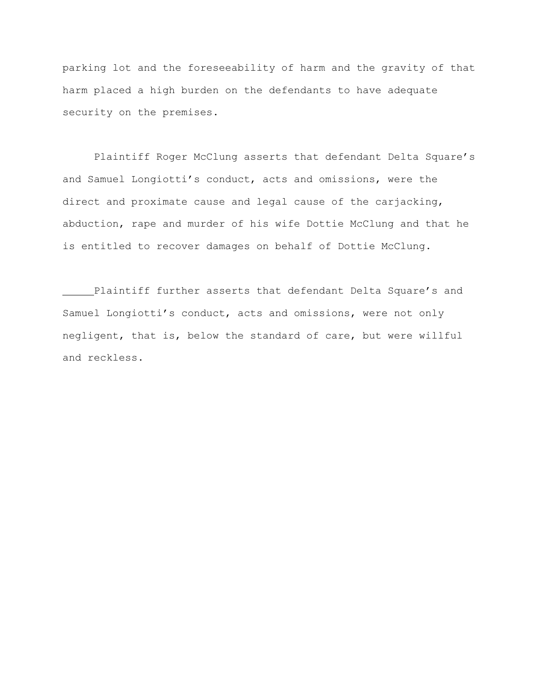parking lot and the foreseeability of harm and the gravity of that harm placed a high burden on the defendants to have adequate security on the premises.

Plaintiff Roger McClung asserts that defendant Delta Square's and Samuel Longiotti's conduct, acts and omissions, were the direct and proximate cause and legal cause of the carjacking, abduction, rape and murder of his wife Dottie McClung and that he is entitled to recover damages on behalf of Dottie McClung.

Plaintiff further asserts that defendant Delta Square's and Samuel Longiotti's conduct, acts and omissions, were not only negligent, that is, below the standard of care, but were willful and reckless.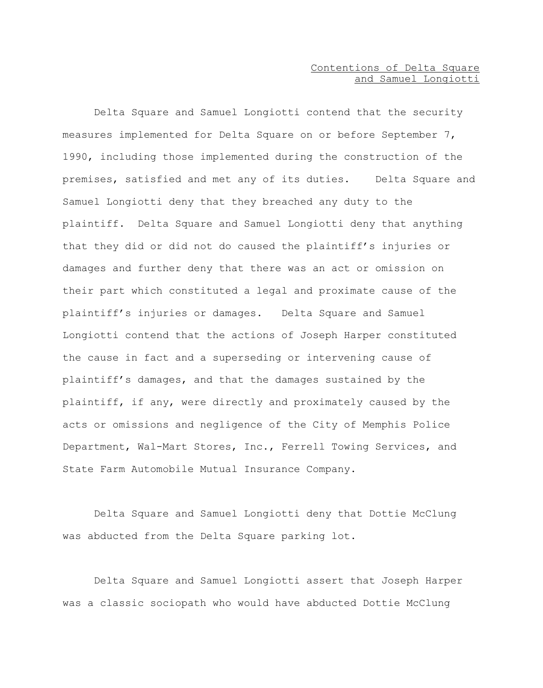# Contentions of Delta Square and Samuel Longiotti

Delta Square and Samuel Longiotti contend that the security measures implemented for Delta Square on or before September 7, 1990, including those implemented during the construction of the premises, satisfied and met any of its duties. Delta Square and Samuel Longiotti deny that they breached any duty to the plaintiff. Delta Square and Samuel Longiotti deny that anything that they did or did not do caused the plaintiff's injuries or damages and further deny that there was an act or omission on their part which constituted a legal and proximate cause of the plaintiff's injuries or damages. Delta Square and Samuel Longiotti contend that the actions of Joseph Harper constituted the cause in fact and a superseding or intervening cause of plaintiff's damages, and that the damages sustained by the plaintiff, if any, were directly and proximately caused by the acts or omissions and negligence of the City of Memphis Police Department, Wal-Mart Stores, Inc., Ferrell Towing Services, and State Farm Automobile Mutual Insurance Company.

Delta Square and Samuel Longiotti deny that Dottie McClung was abducted from the Delta Square parking lot.

Delta Square and Samuel Longiotti assert that Joseph Harper was a classic sociopath who would have abducted Dottie McClung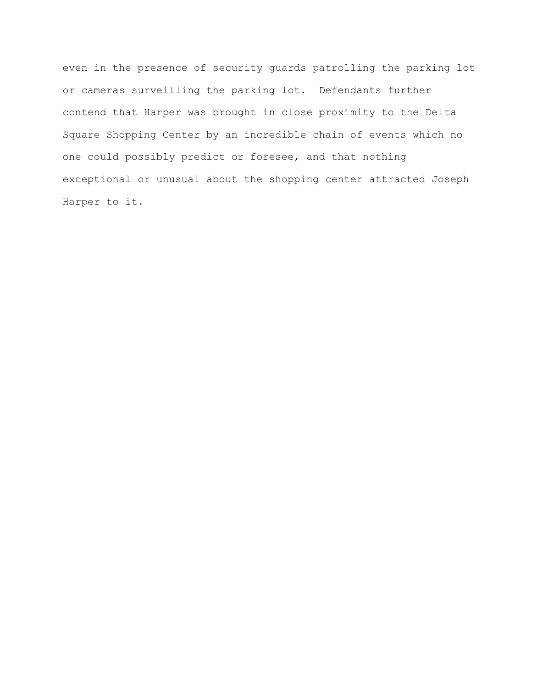even in the presence of security guards patrolling the parking lot or cameras surveilling the parking lot. Defendants further contend that Harper was brought in close proximity to the Delta Square Shopping Center by an incredible chain of events which no one could possibly predict or foresee, and that nothing exceptional or unusual about the shopping center attracted Joseph Harper to it.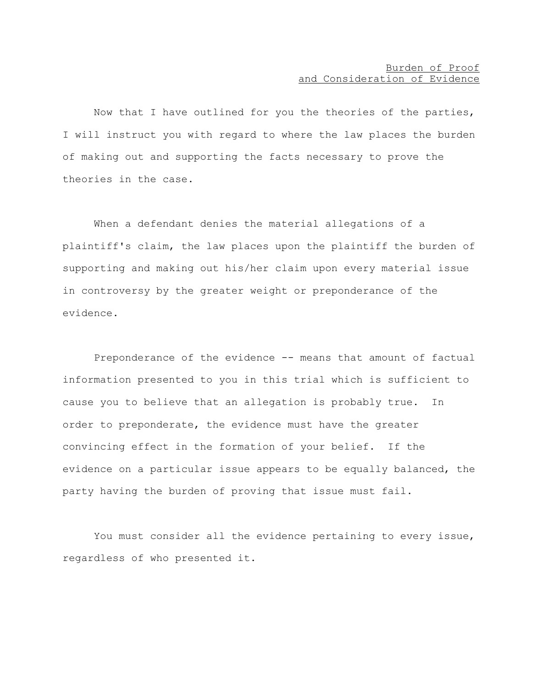# Burden of Proof and Consideration of Evidence

Now that I have outlined for you the theories of the parties, I will instruct you with regard to where the law places the burden of making out and supporting the facts necessary to prove the theories in the case.

When a defendant denies the material allegations of a plaintiff's claim, the law places upon the plaintiff the burden of supporting and making out his/her claim upon every material issue in controversy by the greater weight or preponderance of the evidence.

Preponderance of the evidence -- means that amount of factual information presented to you in this trial which is sufficient to cause you to believe that an allegation is probably true. In order to preponderate, the evidence must have the greater convincing effect in the formation of your belief. If the evidence on a particular issue appears to be equally balanced, the party having the burden of proving that issue must fail.

You must consider all the evidence pertaining to every issue, regardless of who presented it.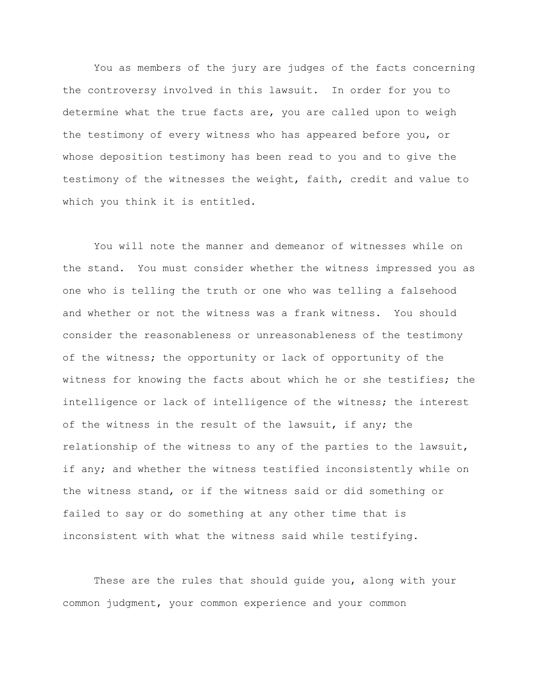You as members of the jury are judges of the facts concerning the controversy involved in this lawsuit. In order for you to determine what the true facts are, you are called upon to weigh the testimony of every witness who has appeared before you, or whose deposition testimony has been read to you and to give the testimony of the witnesses the weight, faith, credit and value to which you think it is entitled.

You will note the manner and demeanor of witnesses while on the stand. You must consider whether the witness impressed you as one who is telling the truth or one who was telling a falsehood and whether or not the witness was a frank witness. You should consider the reasonableness or unreasonableness of the testimony of the witness; the opportunity or lack of opportunity of the witness for knowing the facts about which he or she testifies; the intelligence or lack of intelligence of the witness; the interest of the witness in the result of the lawsuit, if any; the relationship of the witness to any of the parties to the lawsuit, if any; and whether the witness testified inconsistently while on the witness stand, or if the witness said or did something or failed to say or do something at any other time that is inconsistent with what the witness said while testifying.

These are the rules that should guide you, along with your common judgment, your common experience and your common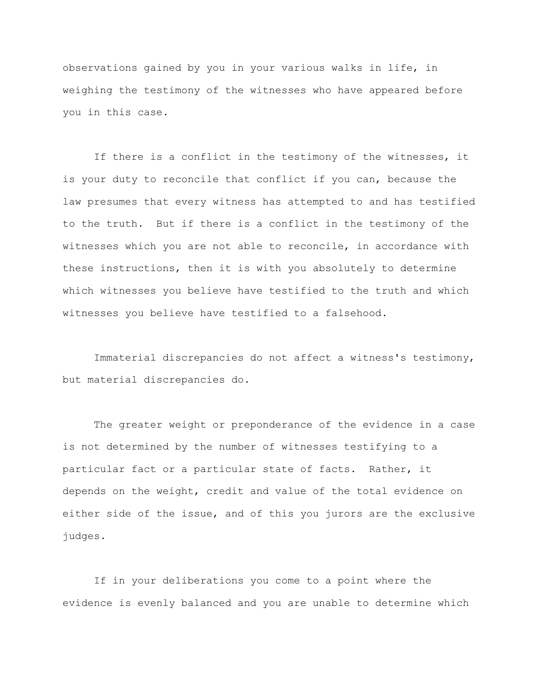observations gained by you in your various walks in life, in weighing the testimony of the witnesses who have appeared before you in this case.

If there is a conflict in the testimony of the witnesses, it is your duty to reconcile that conflict if you can, because the law presumes that every witness has attempted to and has testified to the truth. But if there is a conflict in the testimony of the witnesses which you are not able to reconcile, in accordance with these instructions, then it is with you absolutely to determine which witnesses you believe have testified to the truth and which witnesses you believe have testified to a falsehood.

Immaterial discrepancies do not affect a witness's testimony, but material discrepancies do.

The greater weight or preponderance of the evidence in a case is not determined by the number of witnesses testifying to a particular fact or a particular state of facts. Rather, it depends on the weight, credit and value of the total evidence on either side of the issue, and of this you jurors are the exclusive judges.

If in your deliberations you come to a point where the evidence is evenly balanced and you are unable to determine which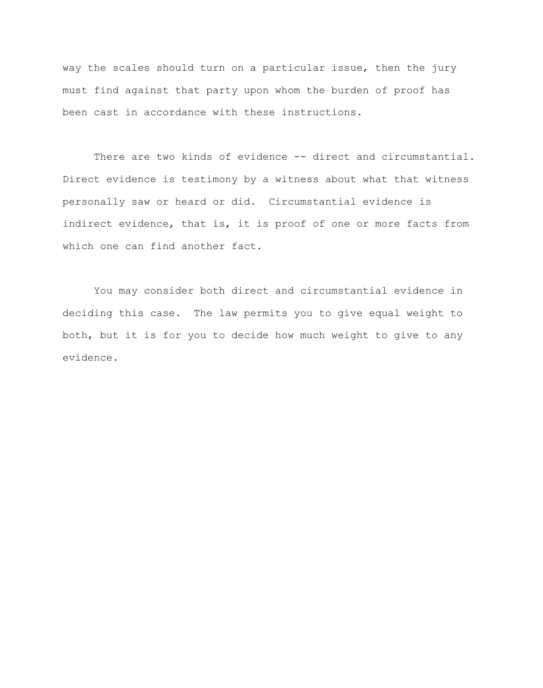way the scales should turn on a particular issue, then the jury must find against that party upon whom the burden of proof has been cast in accordance with these instructions.

There are two kinds of evidence -- direct and circumstantial. Direct evidence is testimony by a witness about what that witness personally saw or heard or did. Circumstantial evidence is indirect evidence, that is, it is proof of one or more facts from which one can find another fact.

You may consider both direct and circumstantial evidence in deciding this case. The law permits you to give equal weight to both, but it is for you to decide how much weight to give to any evidence.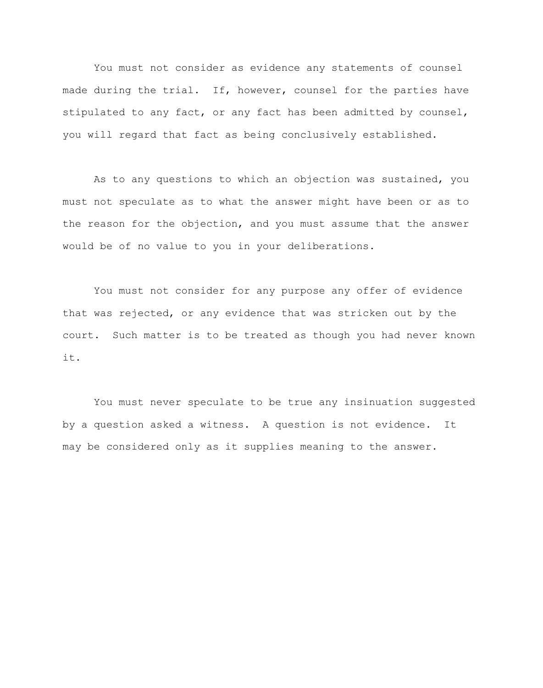You must not consider as evidence any statements of counsel made during the trial. If, however, counsel for the parties have stipulated to any fact, or any fact has been admitted by counsel, you will regard that fact as being conclusively established.

As to any questions to which an objection was sustained, you must not speculate as to what the answer might have been or as to the reason for the objection, and you must assume that the answer would be of no value to you in your deliberations.

You must not consider for any purpose any offer of evidence that was rejected, or any evidence that was stricken out by the court. Such matter is to be treated as though you had never known it.

You must never speculate to be true any insinuation suggested by a question asked a witness. A question is not evidence. It may be considered only as it supplies meaning to the answer.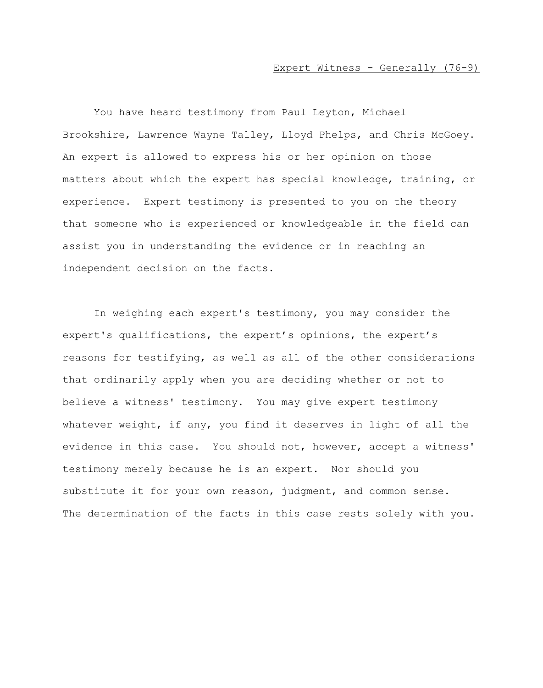#### Expert Witness - Generally (76-9)

You have heard testimony from Paul Leyton, Michael Brookshire, Lawrence Wayne Talley, Lloyd Phelps, and Chris McGoey. An expert is allowed to express his or her opinion on those matters about which the expert has special knowledge, training, or experience. Expert testimony is presented to you on the theory that someone who is experienced or knowledgeable in the field can assist you in understanding the evidence or in reaching an independent decision on the facts.

In weighing each expert's testimony, you may consider the expert's qualifications, the expert's opinions, the expert's reasons for testifying, as well as all of the other considerations that ordinarily apply when you are deciding whether or not to believe a witness' testimony. You may give expert testimony whatever weight, if any, you find it deserves in light of all the evidence in this case. You should not, however, accept a witness' testimony merely because he is an expert. Nor should you substitute it for your own reason, judgment, and common sense. The determination of the facts in this case rests solely with you.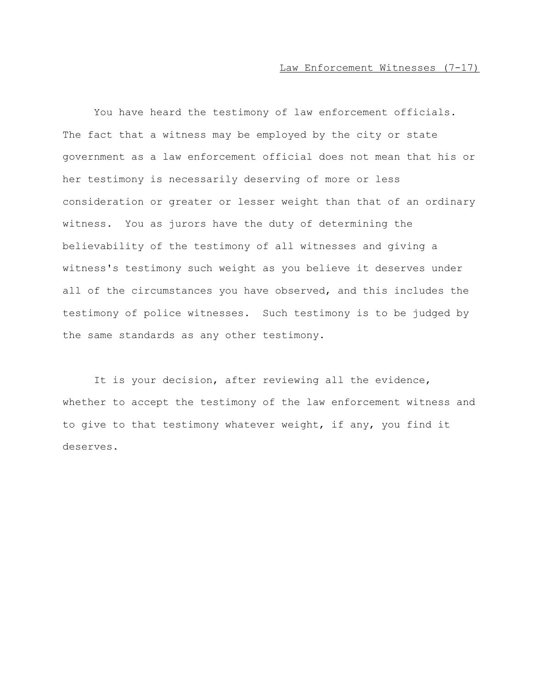#### Law Enforcement Witnesses (7-17)

You have heard the testimony of law enforcement officials. The fact that a witness may be employed by the city or state government as a law enforcement official does not mean that his or her testimony is necessarily deserving of more or less consideration or greater or lesser weight than that of an ordinary witness. You as jurors have the duty of determining the believability of the testimony of all witnesses and giving a witness's testimony such weight as you believe it deserves under all of the circumstances you have observed, and this includes the testimony of police witnesses. Such testimony is to be judged by the same standards as any other testimony.

It is your decision, after reviewing all the evidence, whether to accept the testimony of the law enforcement witness and to give to that testimony whatever weight, if any, you find it deserves.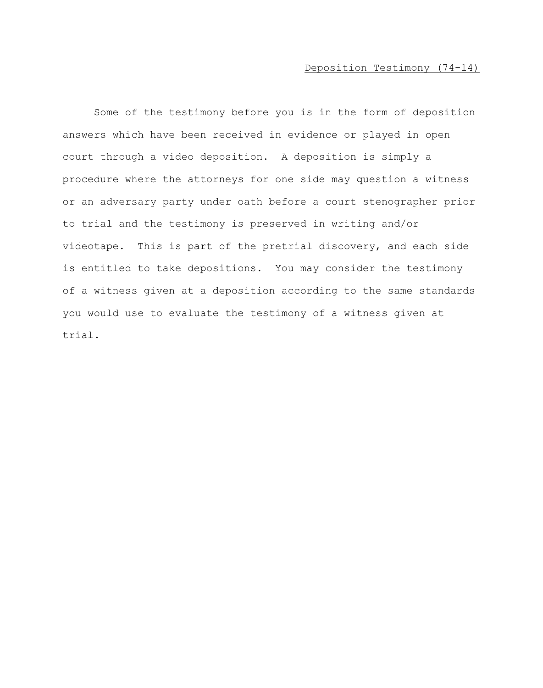# Deposition Testimony (74-14)

Some of the testimony before you is in the form of deposition answers which have been received in evidence or played in open court through a video deposition. A deposition is simply a procedure where the attorneys for one side may question a witness or an adversary party under oath before a court stenographer prior to trial and the testimony is preserved in writing and/or videotape. This is part of the pretrial discovery, and each side is entitled to take depositions. You may consider the testimony of a witness given at a deposition according to the same standards you would use to evaluate the testimony of a witness given at trial.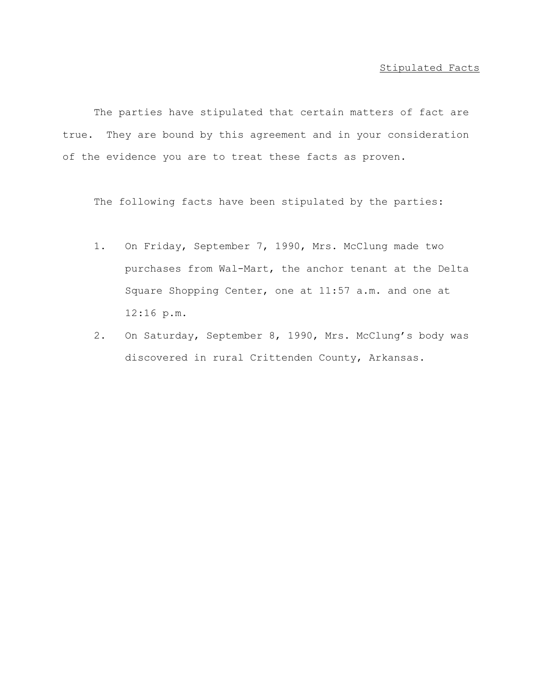### Stipulated Facts

The parties have stipulated that certain matters of fact are true. They are bound by this agreement and in your consideration of the evidence you are to treat these facts as proven.

The following facts have been stipulated by the parties:

- 1. On Friday, September 7, 1990, Mrs. McClung made two purchases from Wal-Mart, the anchor tenant at the Delta Square Shopping Center, one at 11:57 a.m. and one at 12:16 p.m.
- 2. On Saturday, September 8, 1990, Mrs. McClung's body was discovered in rural Crittenden County, Arkansas.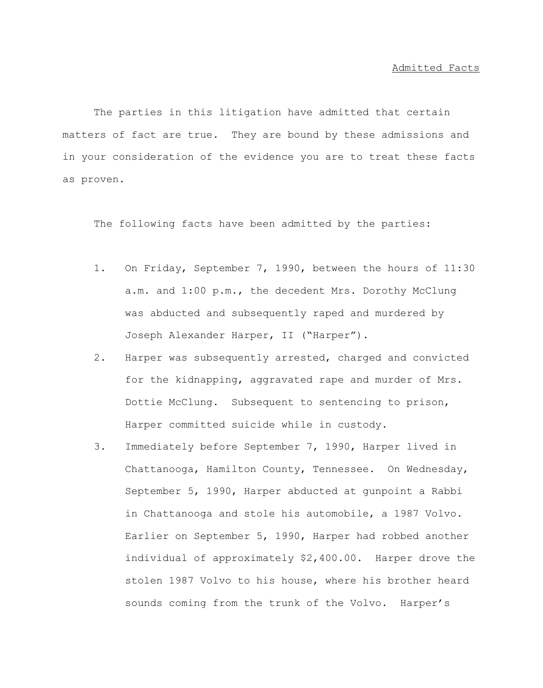The parties in this litigation have admitted that certain matters of fact are true. They are bound by these admissions and in your consideration of the evidence you are to treat these facts as proven.

The following facts have been admitted by the parties:

- 1. On Friday, September 7, 1990, between the hours of 11:30 a.m. and 1:00 p.m., the decedent Mrs. Dorothy McClung was abducted and subsequently raped and murdered by Joseph Alexander Harper, II ("Harper").
- 2. Harper was subsequently arrested, charged and convicted for the kidnapping, aggravated rape and murder of Mrs. Dottie McClung. Subsequent to sentencing to prison, Harper committed suicide while in custody.
- 3. Immediately before September 7, 1990, Harper lived in Chattanooga, Hamilton County, Tennessee. On Wednesday, September 5, 1990, Harper abducted at gunpoint a Rabbi in Chattanooga and stole his automobile, a 1987 Volvo. Earlier on September 5, 1990, Harper had robbed another individual of approximately \$2,400.00. Harper drove the stolen 1987 Volvo to his house, where his brother heard sounds coming from the trunk of the Volvo. Harper's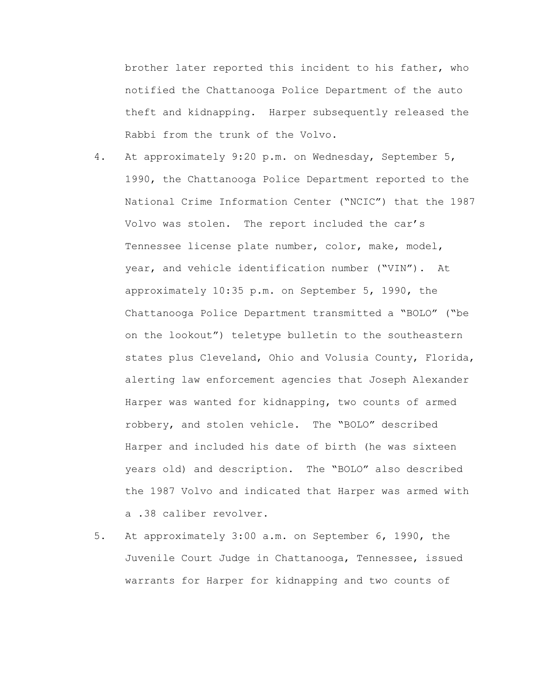brother later reported this incident to his father, who notified the Chattanooga Police Department of the auto theft and kidnapping. Harper subsequently released the Rabbi from the trunk of the Volvo.

- 4. At approximately 9:20 p.m. on Wednesday, September 5, 1990, the Chattanooga Police Department reported to the National Crime Information Center ("NCIC") that the 1987 Volvo was stolen. The report included the car's Tennessee license plate number, color, make, model, year, and vehicle identification number ("VIN"). At approximately 10:35 p.m. on September 5, 1990, the Chattanooga Police Department transmitted a "BOLO" ("be on the lookout") teletype bulletin to the southeastern states plus Cleveland, Ohio and Volusia County, Florida, alerting law enforcement agencies that Joseph Alexander Harper was wanted for kidnapping, two counts of armed robbery, and stolen vehicle. The "BOLO" described Harper and included his date of birth (he was sixteen years old) and description. The "BOLO" also described the 1987 Volvo and indicated that Harper was armed with a .38 caliber revolver.
- 5. At approximately 3:00 a.m. on September 6, 1990, the Juvenile Court Judge in Chattanooga, Tennessee, issued warrants for Harper for kidnapping and two counts of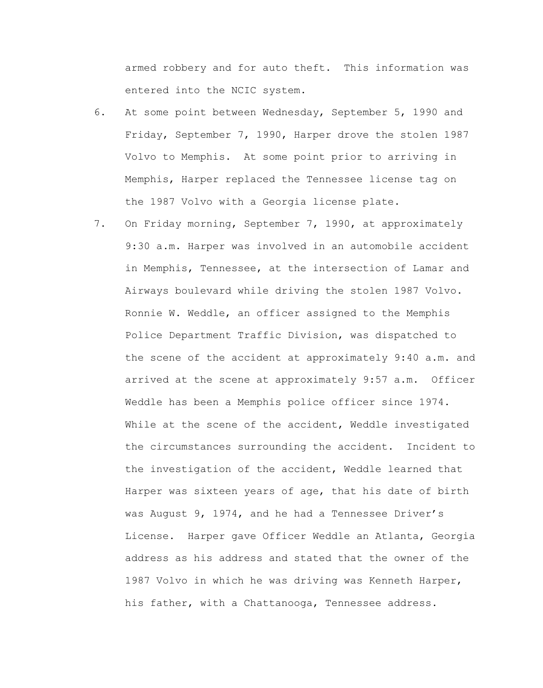armed robbery and for auto theft. This information was entered into the NCIC system.

- 6. At some point between Wednesday, September 5, 1990 and Friday, September 7, 1990, Harper drove the stolen 1987 Volvo to Memphis. At some point prior to arriving in Memphis, Harper replaced the Tennessee license tag on the 1987 Volvo with a Georgia license plate.
- 7. On Friday morning, September 7, 1990, at approximately 9:30 a.m. Harper was involved in an automobile accident in Memphis, Tennessee, at the intersection of Lamar and Airways boulevard while driving the stolen 1987 Volvo. Ronnie W. Weddle, an officer assigned to the Memphis Police Department Traffic Division, was dispatched to the scene of the accident at approximately 9:40 a.m. and arrived at the scene at approximately 9:57 a.m. Officer Weddle has been a Memphis police officer since 1974. While at the scene of the accident, Weddle investigated the circumstances surrounding the accident. Incident to the investigation of the accident, Weddle learned that Harper was sixteen years of age, that his date of birth was August 9, 1974, and he had a Tennessee Driver's License. Harper gave Officer Weddle an Atlanta, Georgia address as his address and stated that the owner of the 1987 Volvo in which he was driving was Kenneth Harper, his father, with a Chattanooga, Tennessee address.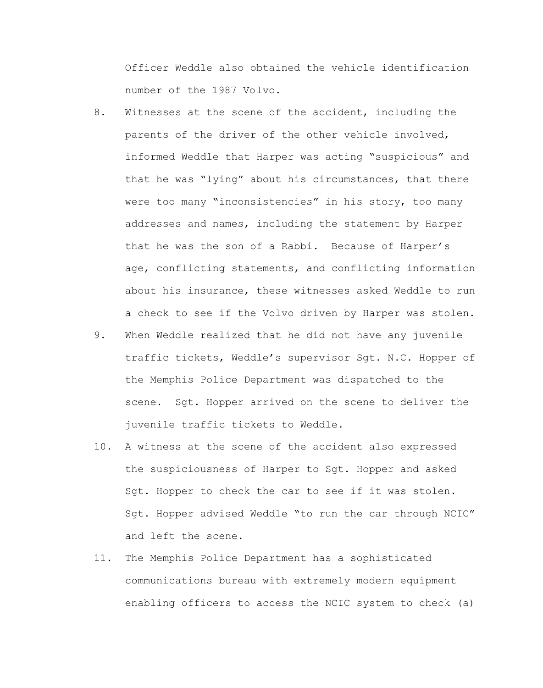Officer Weddle also obtained the vehicle identification number of the 1987 Volvo.

- 8. Witnesses at the scene of the accident, including the parents of the driver of the other vehicle involved, informed Weddle that Harper was acting "suspicious" and that he was "lying" about his circumstances, that there were too many "inconsistencies" in his story, too many addresses and names, including the statement by Harper that he was the son of a Rabbi. Because of Harper's age, conflicting statements, and conflicting information about his insurance, these witnesses asked Weddle to run a check to see if the Volvo driven by Harper was stolen.
- 9. When Weddle realized that he did not have any juvenile traffic tickets, Weddle's supervisor Sgt. N.C. Hopper of the Memphis Police Department was dispatched to the scene. Sgt. Hopper arrived on the scene to deliver the juvenile traffic tickets to Weddle.
- 10. A witness at the scene of the accident also expressed the suspiciousness of Harper to Sgt. Hopper and asked Sgt. Hopper to check the car to see if it was stolen. Sgt. Hopper advised Weddle "to run the car through NCIC" and left the scene.
- 11. The Memphis Police Department has a sophisticated communications bureau with extremely modern equipment enabling officers to access the NCIC system to check (a)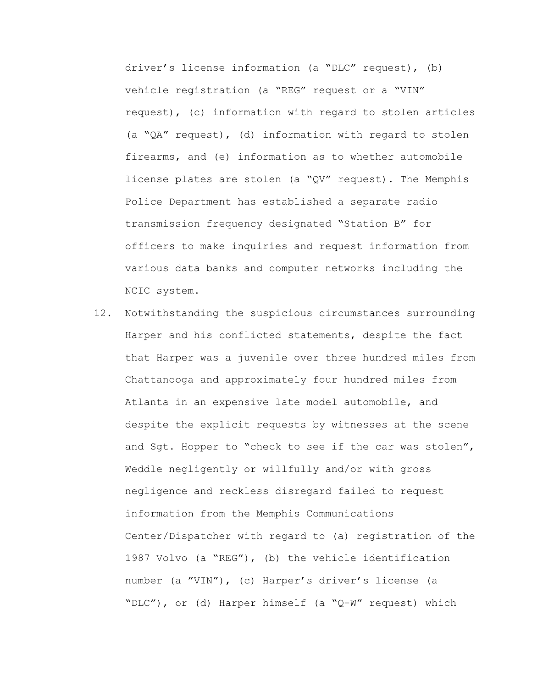driver's license information (a "DLC" request), (b) vehicle registration (a "REG" request or a "VIN" request), (c) information with regard to stolen articles (a "QA" request), (d) information with regard to stolen firearms, and (e) information as to whether automobile license plates are stolen (a "QV" request). The Memphis Police Department has established a separate radio transmission frequency designated "Station B" for officers to make inquiries and request information from various data banks and computer networks including the NCIC system.

12. Notwithstanding the suspicious circumstances surrounding Harper and his conflicted statements, despite the fact that Harper was a juvenile over three hundred miles from Chattanooga and approximately four hundred miles from Atlanta in an expensive late model automobile, and despite the explicit requests by witnesses at the scene and Sgt. Hopper to "check to see if the car was stolen", Weddle negligently or willfully and/or with gross negligence and reckless disregard failed to request information from the Memphis Communications Center/Dispatcher with regard to (a) registration of the 1987 Volvo (a "REG"), (b) the vehicle identification number (a "VIN"), (c) Harper's driver's license (a "DLC"), or (d) Harper himself (a "Q-W" request) which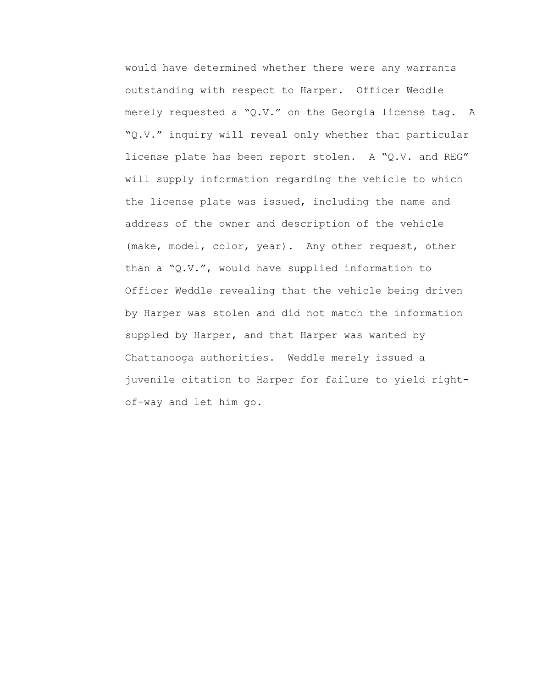would have determined whether there were any warrants outstanding with respect to Harper. Officer Weddle merely requested a "Q.V." on the Georgia license tag. A "Q.V." inquiry will reveal only whether that particular license plate has been report stolen. A "Q.V. and REG" will supply information regarding the vehicle to which the license plate was issued, including the name and address of the owner and description of the vehicle (make, model, color, year). Any other request, other than a "Q.V.", would have supplied information to Officer Weddle revealing that the vehicle being driven by Harper was stolen and did not match the information suppled by Harper, and that Harper was wanted by Chattanooga authorities. Weddle merely issued a juvenile citation to Harper for failure to yield rightof-way and let him go.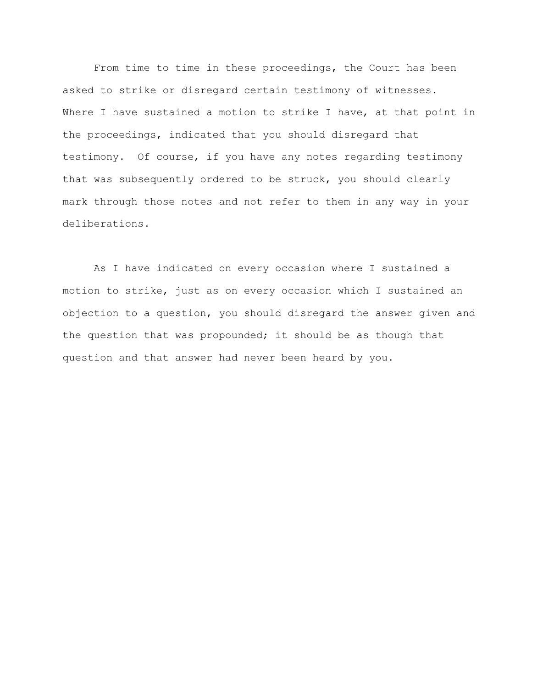From time to time in these proceedings, the Court has been asked to strike or disregard certain testimony of witnesses. Where I have sustained a motion to strike I have, at that point in the proceedings, indicated that you should disregard that testimony. Of course, if you have any notes regarding testimony that was subsequently ordered to be struck, you should clearly mark through those notes and not refer to them in any way in your deliberations.

As I have indicated on every occasion where I sustained a motion to strike, just as on every occasion which I sustained an objection to a question, you should disregard the answer given and the question that was propounded; it should be as though that question and that answer had never been heard by you.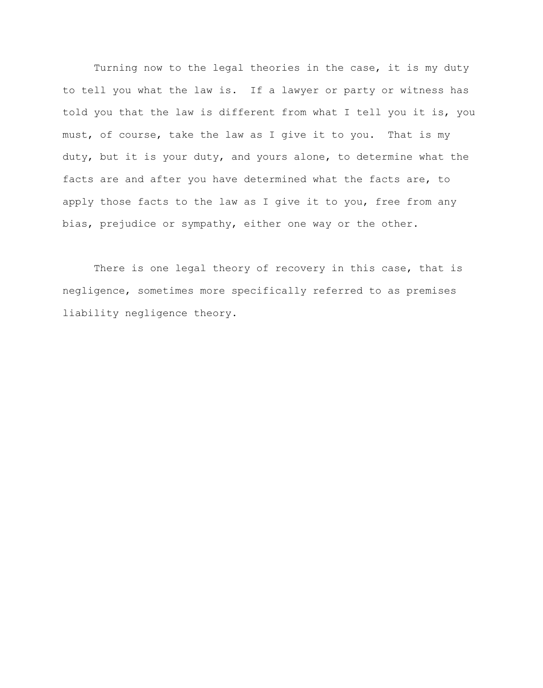Turning now to the legal theories in the case, it is my duty to tell you what the law is. If a lawyer or party or witness has told you that the law is different from what I tell you it is, you must, of course, take the law as I give it to you. That is my duty, but it is your duty, and yours alone, to determine what the facts are and after you have determined what the facts are, to apply those facts to the law as I give it to you, free from any bias, prejudice or sympathy, either one way or the other.

There is one legal theory of recovery in this case, that is negligence, sometimes more specifically referred to as premises liability negligence theory.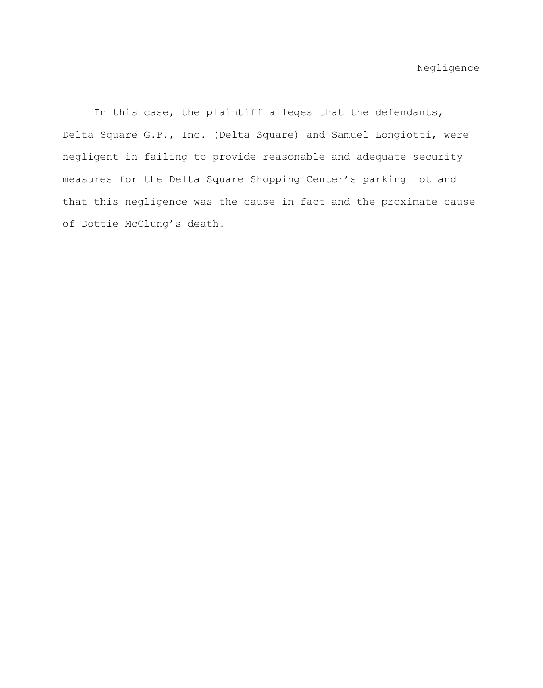In this case, the plaintiff alleges that the defendants, Delta Square G.P., Inc. (Delta Square) and Samuel Longiotti, were negligent in failing to provide reasonable and adequate security measures for the Delta Square Shopping Center's parking lot and that this negligence was the cause in fact and the proximate cause of Dottie McClung's death.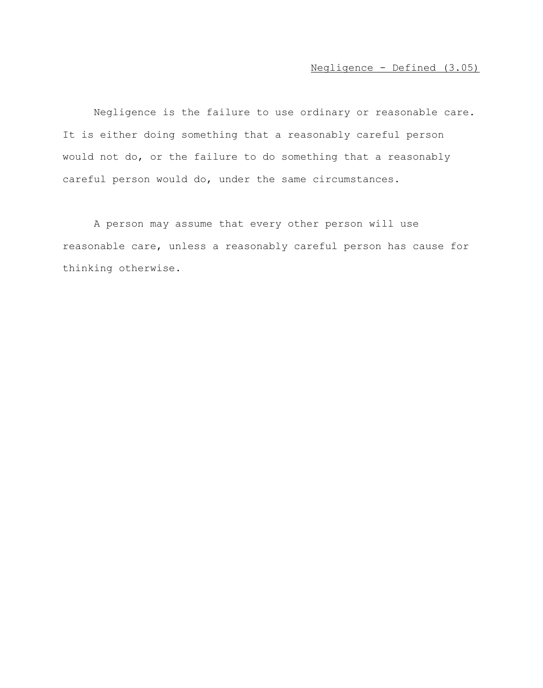Negligence is the failure to use ordinary or reasonable care. It is either doing something that a reasonably careful person would not do, or the failure to do something that a reasonably careful person would do, under the same circumstances.

A person may assume that every other person will use reasonable care, unless a reasonably careful person has cause for thinking otherwise.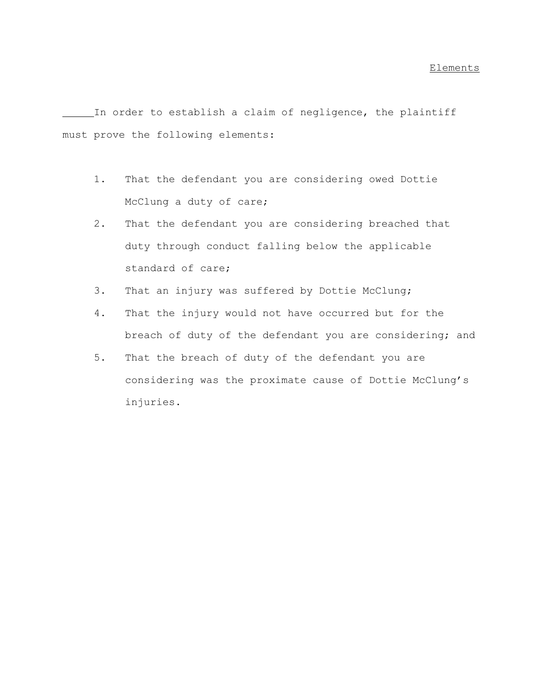In order to establish a claim of negligence, the plaintiff must prove the following elements:

- 1. That the defendant you are considering owed Dottie McClung a duty of care;
- 2. That the defendant you are considering breached that duty through conduct falling below the applicable standard of care;
- 3. That an injury was suffered by Dottie McClung;
- 4. That the injury would not have occurred but for the breach of duty of the defendant you are considering; and
- 5. That the breach of duty of the defendant you are considering was the proximate cause of Dottie McClung's injuries.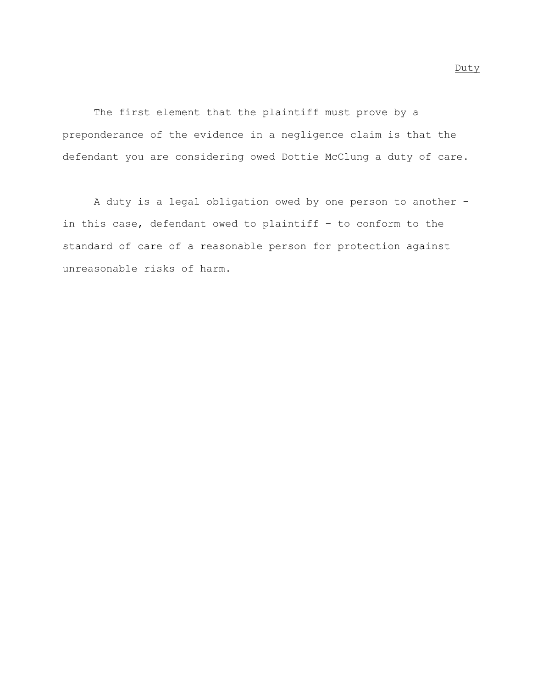The first element that the plaintiff must prove by a preponderance of the evidence in a negligence claim is that the defendant you are considering owed Dottie McClung a duty of care.

A duty is a legal obligation owed by one person to another – in this case, defendant owed to plaintiff – to conform to the standard of care of a reasonable person for protection against unreasonable risks of harm.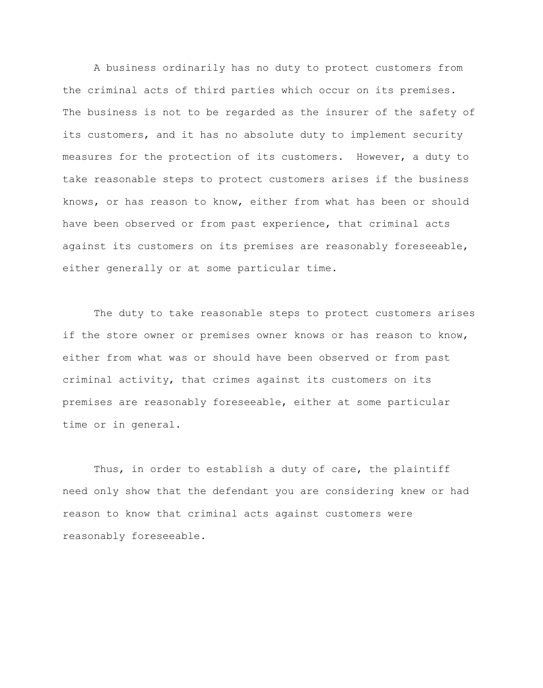A business ordinarily has no duty to protect customers from the criminal acts of third parties which occur on its premises. The business is not to be regarded as the insurer of the safety of its customers, and it has no absolute duty to implement security measures for the protection of its customers. However, a duty to take reasonable steps to protect customers arises if the business knows, or has reason to know, either from what has been or should have been observed or from past experience, that criminal acts against its customers on its premises are reasonably foreseeable, either generally or at some particular time.

The duty to take reasonable steps to protect customers arises if the store owner or premises owner knows or has reason to know, either from what was or should have been observed or from past criminal activity, that crimes against its customers on its premises are reasonably foreseeable, either at some particular time or in general.

Thus, in order to establish a duty of care, the plaintiff need only show that the defendant you are considering knew or had reason to know that criminal acts against customers were reasonably foreseeable.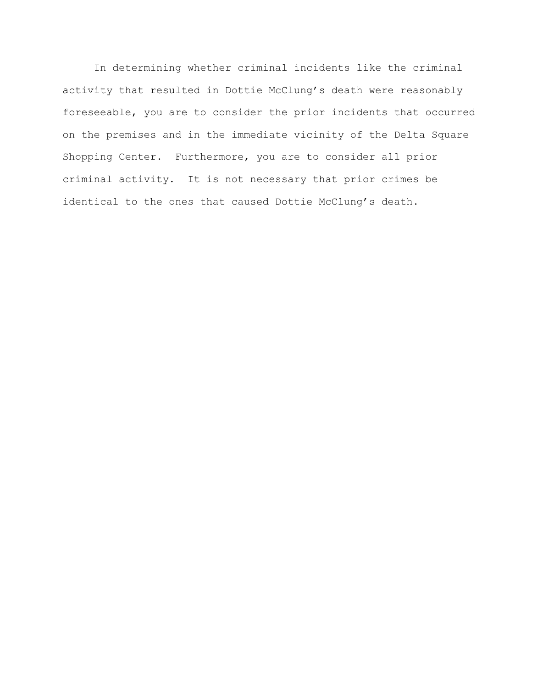In determining whether criminal incidents like the criminal activity that resulted in Dottie McClung's death were reasonably foreseeable, you are to consider the prior incidents that occurred on the premises and in the immediate vicinity of the Delta Square Shopping Center. Furthermore, you are to consider all prior criminal activity. It is not necessary that prior crimes be identical to the ones that caused Dottie McClung's death.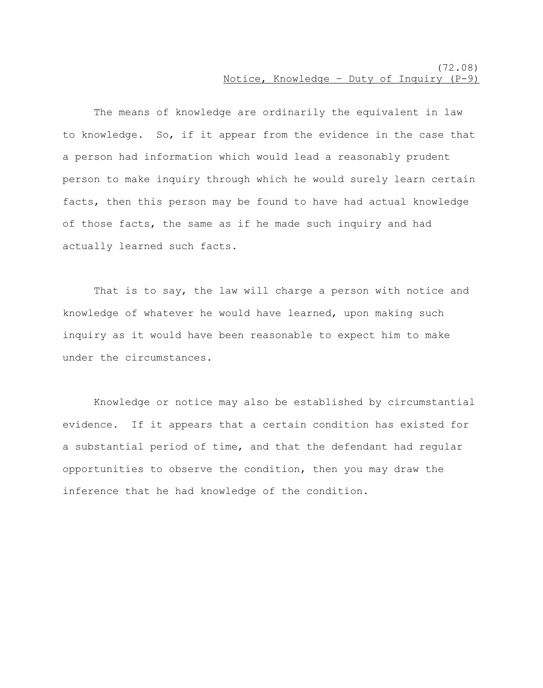The means of knowledge are ordinarily the equivalent in law to knowledge. So, if it appear from the evidence in the case that a person had information which would lead a reasonably prudent person to make inquiry through which he would surely learn certain facts, then this person may be found to have had actual knowledge of those facts, the same as if he made such inquiry and had actually learned such facts.

That is to say, the law will charge a person with notice and knowledge of whatever he would have learned, upon making such inquiry as it would have been reasonable to expect him to make under the circumstances.

Knowledge or notice may also be established by circumstantial evidence. If it appears that a certain condition has existed for a substantial period of time, and that the defendant had regular opportunities to observe the condition, then you may draw the inference that he had knowledge of the condition.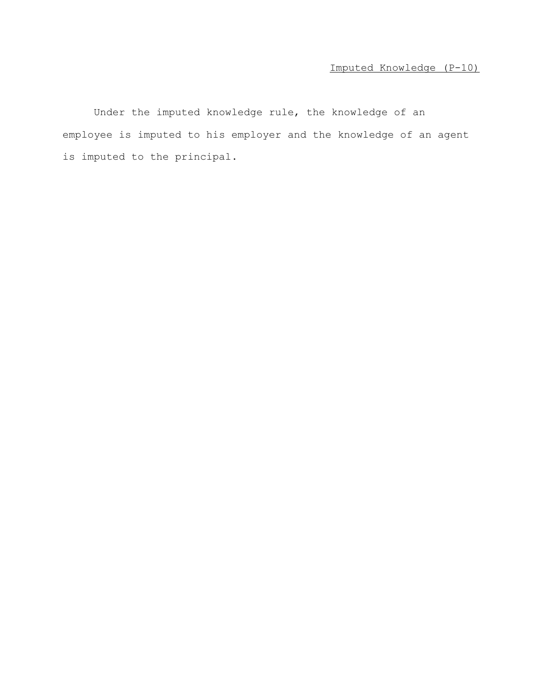Under the imputed knowledge rule, the knowledge of an employee is imputed to his employer and the knowledge of an agent is imputed to the principal.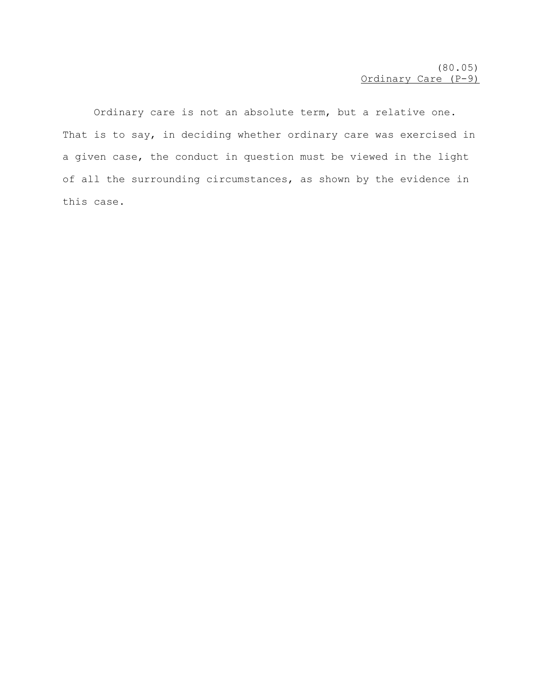Ordinary care is not an absolute term, but a relative one. That is to say, in deciding whether ordinary care was exercised in a given case, the conduct in question must be viewed in the light of all the surrounding circumstances, as shown by the evidence in this case.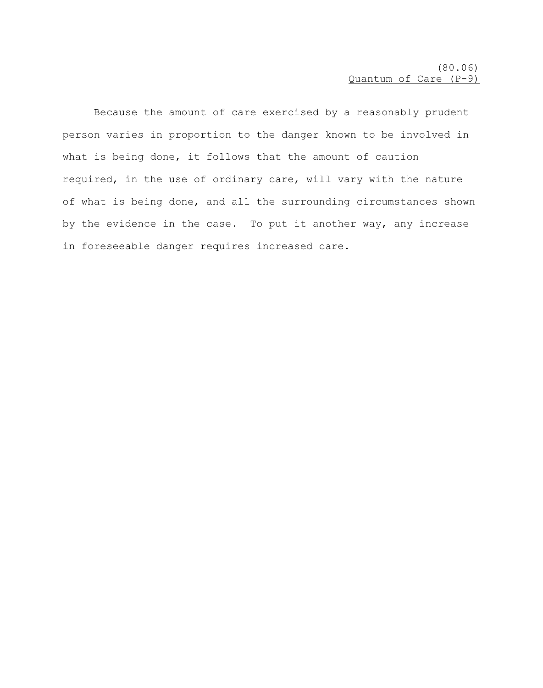Because the amount of care exercised by a reasonably prudent person varies in proportion to the danger known to be involved in what is being done, it follows that the amount of caution required, in the use of ordinary care, will vary with the nature of what is being done, and all the surrounding circumstances shown by the evidence in the case. To put it another way, any increase in foreseeable danger requires increased care.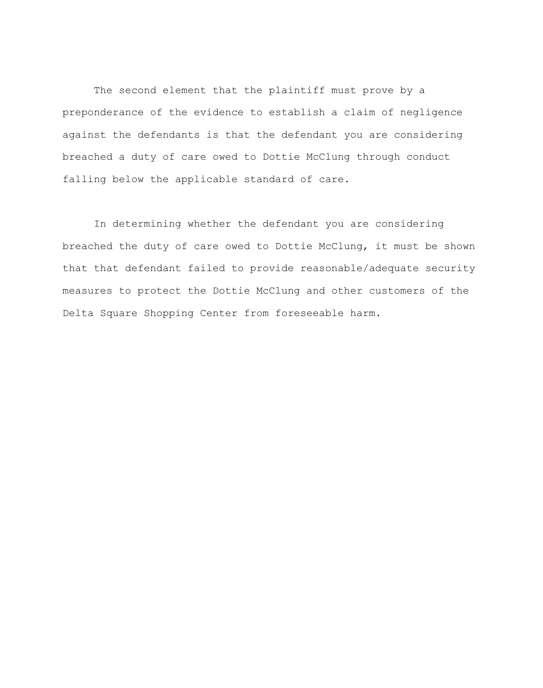The second element that the plaintiff must prove by a preponderance of the evidence to establish a claim of negligence against the defendants is that the defendant you are considering breached a duty of care owed to Dottie McClung through conduct falling below the applicable standard of care.

In determining whether the defendant you are considering breached the duty of care owed to Dottie McClung, it must be shown that that defendant failed to provide reasonable/adequate security measures to protect the Dottie McClung and other customers of the Delta Square Shopping Center from foreseeable harm.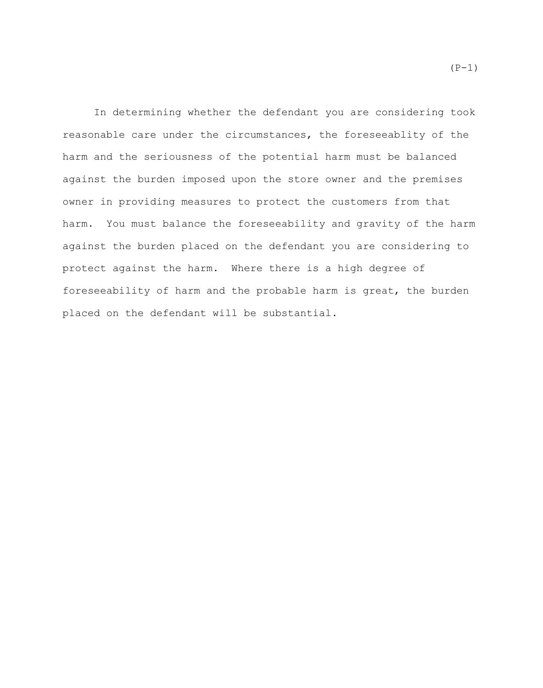In determining whether the defendant you are considering took reasonable care under the circumstances, the foreseeablity of the harm and the seriousness of the potential harm must be balanced against the burden imposed upon the store owner and the premises owner in providing measures to protect the customers from that harm. You must balance the foreseeability and gravity of the harm against the burden placed on the defendant you are considering to protect against the harm. Where there is a high degree of foreseeability of harm and the probable harm is great, the burden placed on the defendant will be substantial.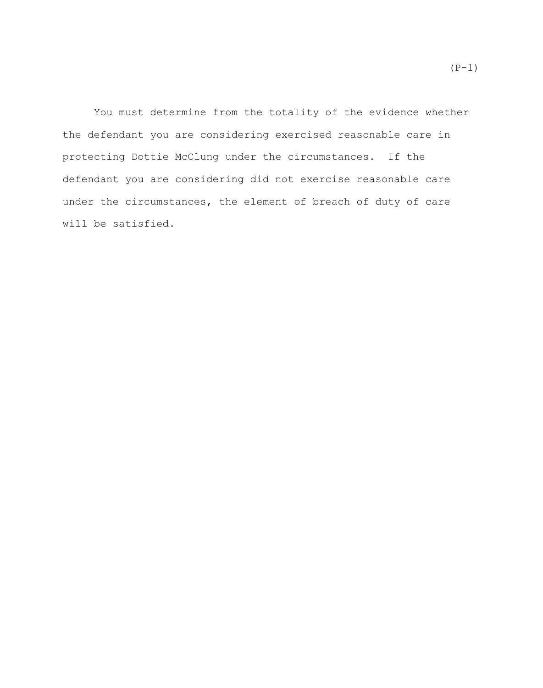You must determine from the totality of the evidence whether the defendant you are considering exercised reasonable care in protecting Dottie McClung under the circumstances. If the defendant you are considering did not exercise reasonable care under the circumstances, the element of breach of duty of care will be satisfied.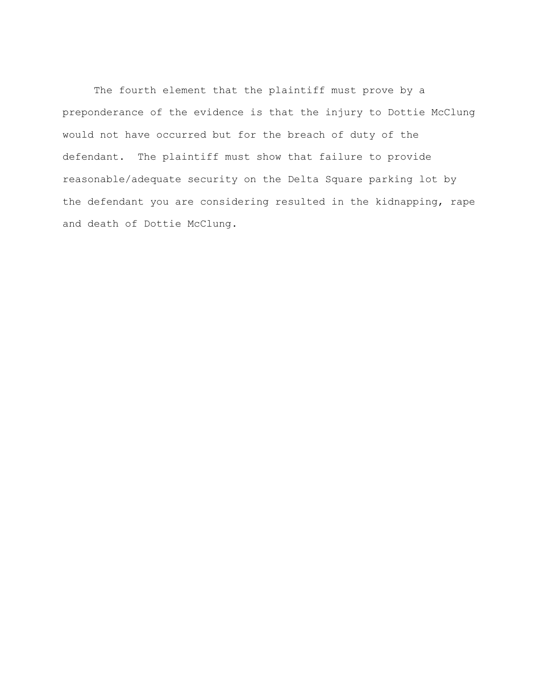The fourth element that the plaintiff must prove by a preponderance of the evidence is that the injury to Dottie McClung would not have occurred but for the breach of duty of the defendant. The plaintiff must show that failure to provide reasonable/adequate security on the Delta Square parking lot by the defendant you are considering resulted in the kidnapping, rape and death of Dottie McClung.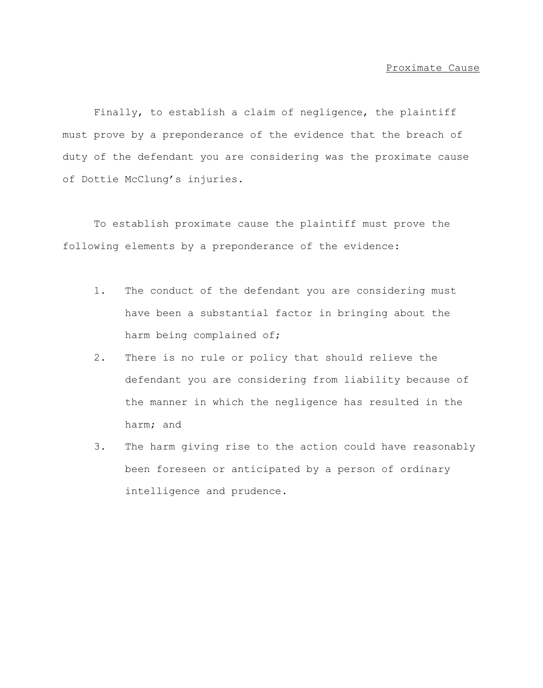Finally, to establish a claim of negligence, the plaintiff must prove by a preponderance of the evidence that the breach of duty of the defendant you are considering was the proximate cause of Dottie McClung's injuries.

To establish proximate cause the plaintiff must prove the following elements by a preponderance of the evidence:

- 1. The conduct of the defendant you are considering must have been a substantial factor in bringing about the harm being complained of;
- 2. There is no rule or policy that should relieve the defendant you are considering from liability because of the manner in which the negligence has resulted in the harm; and
- 3. The harm giving rise to the action could have reasonably been foreseen or anticipated by a person of ordinary intelligence and prudence.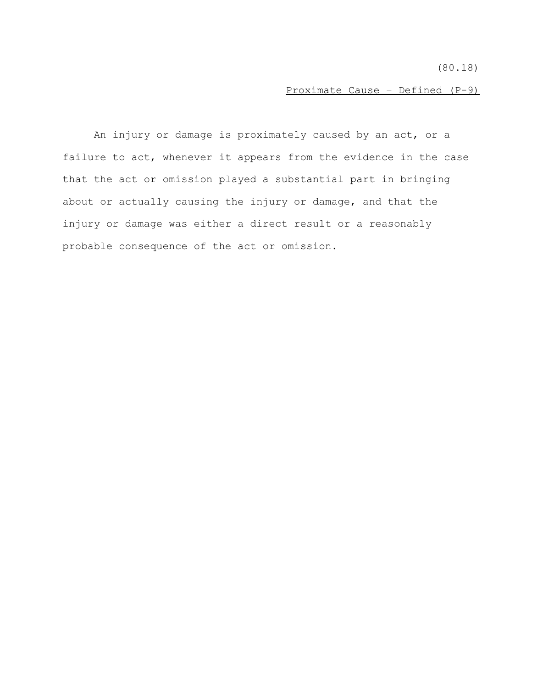(80.18)

Proximate Cause – Defined (P-9)

An injury or damage is proximately caused by an act, or a failure to act, whenever it appears from the evidence in the case that the act or omission played a substantial part in bringing about or actually causing the injury or damage, and that the injury or damage was either a direct result or a reasonably probable consequence of the act or omission.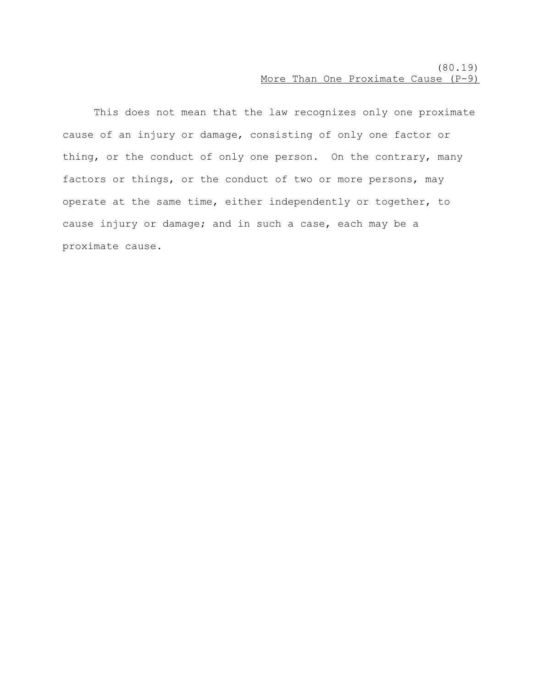## (80.19) More Than One Proximate Cause (P-9)

This does not mean that the law recognizes only one proximate cause of an injury or damage, consisting of only one factor or thing, or the conduct of only one person. On the contrary, many factors or things, or the conduct of two or more persons, may operate at the same time, either independently or together, to cause injury or damage; and in such a case, each may be a proximate cause.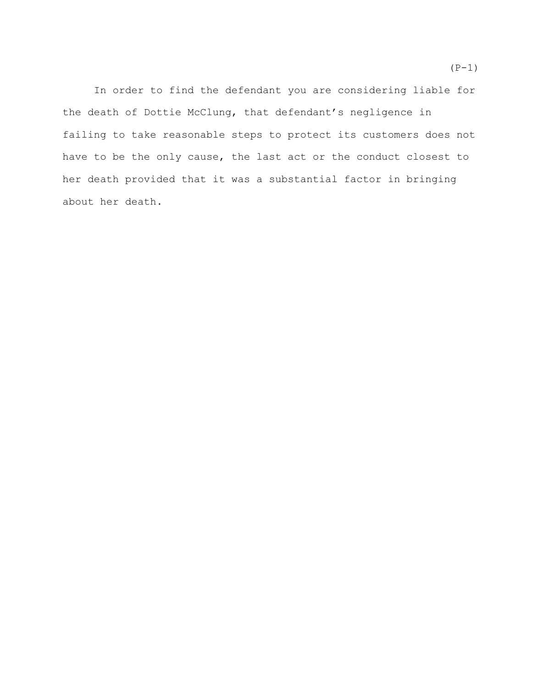In order to find the defendant you are considering liable for the death of Dottie McClung, that defendant's negligence in failing to take reasonable steps to protect its customers does not have to be the only cause, the last act or the conduct closest to her death provided that it was a substantial factor in bringing about her death.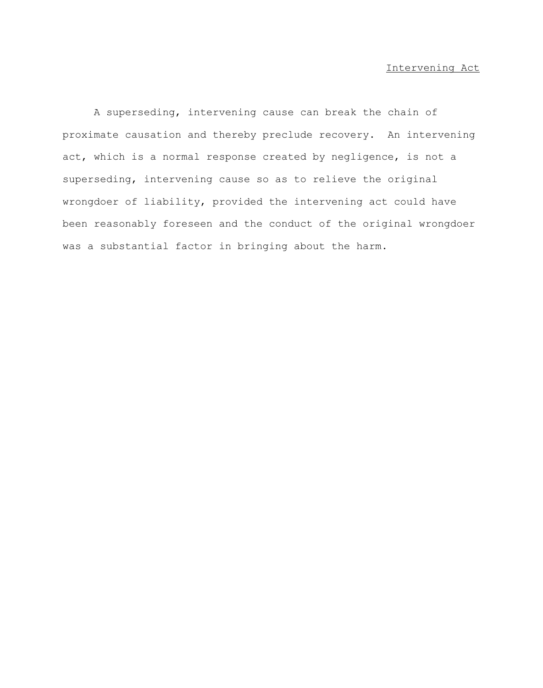# Intervening Act

A superseding, intervening cause can break the chain of proximate causation and thereby preclude recovery. An intervening act, which is a normal response created by negligence, is not a superseding, intervening cause so as to relieve the original wrongdoer of liability, provided the intervening act could have been reasonably foreseen and the conduct of the original wrongdoer was a substantial factor in bringing about the harm.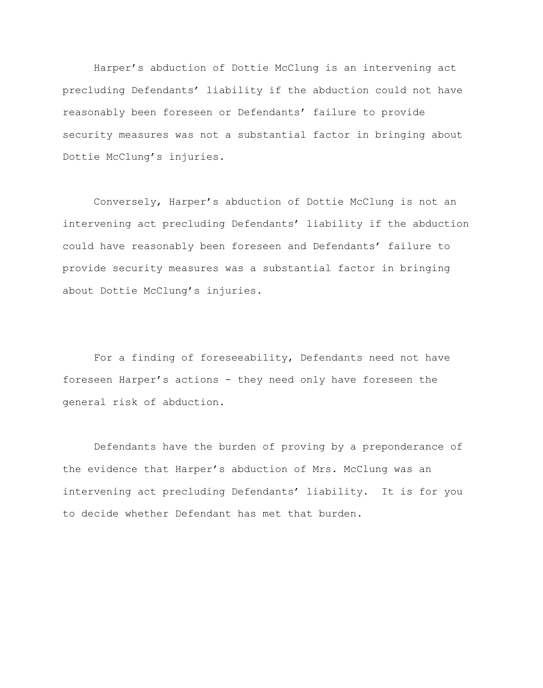Harper's abduction of Dottie McClung is an intervening act precluding Defendants' liability if the abduction could not have reasonably been foreseen or Defendants' failure to provide security measures was not a substantial factor in bringing about Dottie McClung's injuries.

Conversely, Harper's abduction of Dottie McClung is not an intervening act precluding Defendants' liability if the abduction could have reasonably been foreseen and Defendants' failure to provide security measures was a substantial factor in bringing about Dottie McClung's injuries.

For a finding of foreseeability, Defendants need not have foreseen Harper's actions - they need only have foreseen the general risk of abduction.

Defendants have the burden of proving by a preponderance of the evidence that Harper's abduction of Mrs. McClung was an intervening act precluding Defendants' liability. It is for you to decide whether Defendant has met that burden.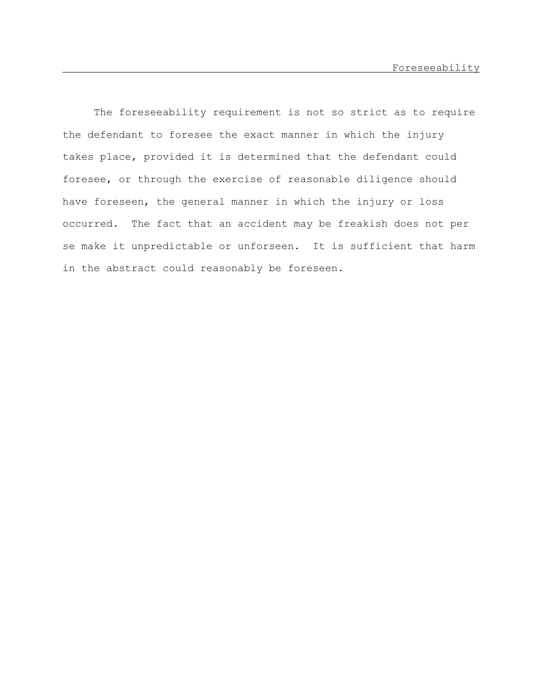The foreseeability requirement is not so strict as to require the defendant to foresee the exact manner in which the injury takes place, provided it is determined that the defendant could foresee, or through the exercise of reasonable diligence should have foreseen, the general manner in which the injury or loss occurred. The fact that an accident may be freakish does not per se make it unpredictable or unforseen. It is sufficient that harm in the abstract could reasonably be foreseen.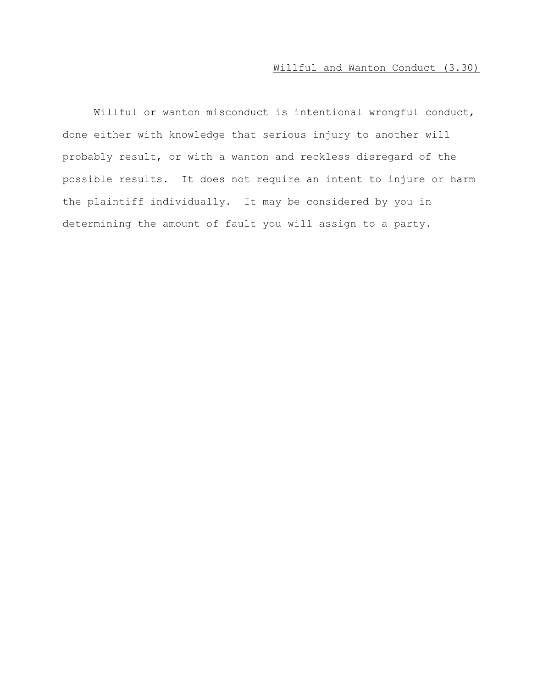# Willful and Wanton Conduct (3.30)

Willful or wanton misconduct is intentional wrongful conduct, done either with knowledge that serious injury to another will probably result, or with a wanton and reckless disregard of the possible results. It does not require an intent to injure or harm the plaintiff individually. It may be considered by you in determining the amount of fault you will assign to a party.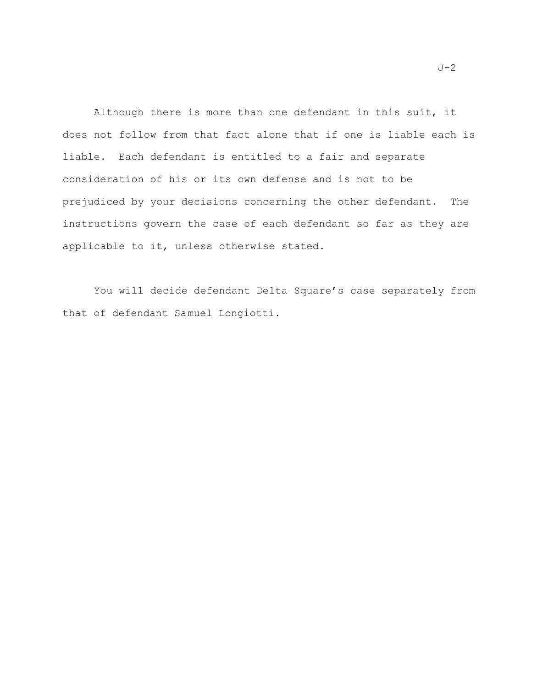Although there is more than one defendant in this suit, it does not follow from that fact alone that if one is liable each is liable. Each defendant is entitled to a fair and separate consideration of his or its own defense and is not to be prejudiced by your decisions concerning the other defendant. The instructions govern the case of each defendant so far as they are applicable to it, unless otherwise stated.

You will decide defendant Delta Square's case separately from that of defendant Samuel Longiotti.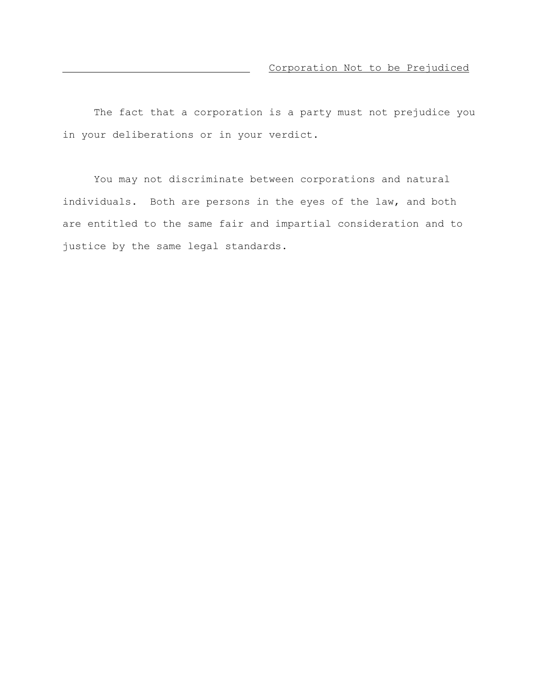The fact that a corporation is a party must not prejudice you in your deliberations or in your verdict.

You may not discriminate between corporations and natural individuals. Both are persons in the eyes of the law, and both are entitled to the same fair and impartial consideration and to justice by the same legal standards.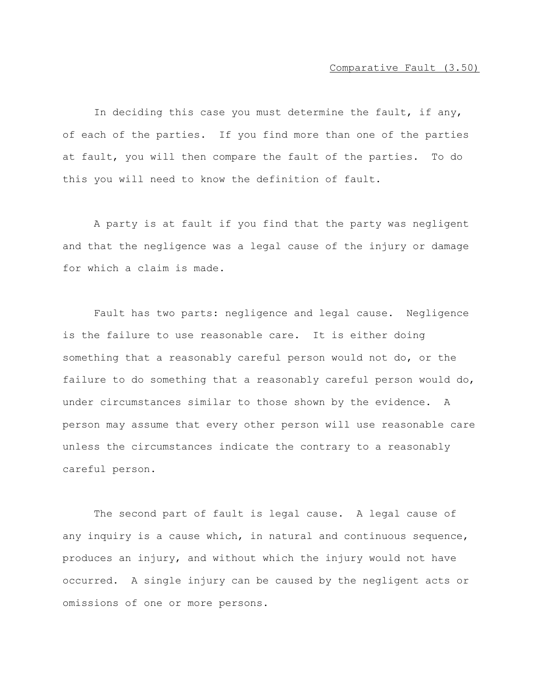In deciding this case you must determine the fault, if any, of each of the parties. If you find more than one of the parties at fault, you will then compare the fault of the parties. To do this you will need to know the definition of fault.

A party is at fault if you find that the party was negligent and that the negligence was a legal cause of the injury or damage for which a claim is made.

Fault has two parts: negligence and legal cause. Negligence is the failure to use reasonable care. It is either doing something that a reasonably careful person would not do, or the failure to do something that a reasonably careful person would do, under circumstances similar to those shown by the evidence. A person may assume that every other person will use reasonable care unless the circumstances indicate the contrary to a reasonably careful person.

The second part of fault is legal cause. A legal cause of any inquiry is a cause which, in natural and continuous sequence, produces an injury, and without which the injury would not have occurred. A single injury can be caused by the negligent acts or omissions of one or more persons.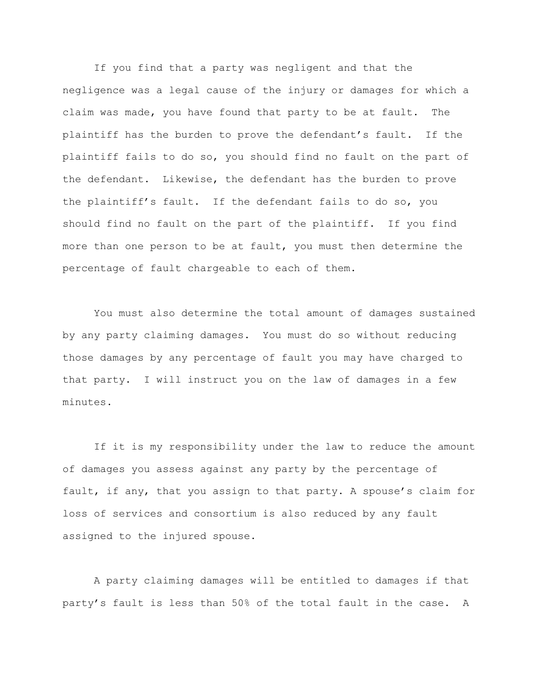If you find that a party was negligent and that the negligence was a legal cause of the injury or damages for which a claim was made, you have found that party to be at fault. The plaintiff has the burden to prove the defendant's fault. If the plaintiff fails to do so, you should find no fault on the part of the defendant. Likewise, the defendant has the burden to prove the plaintiff's fault. If the defendant fails to do so, you should find no fault on the part of the plaintiff. If you find more than one person to be at fault, you must then determine the percentage of fault chargeable to each of them.

You must also determine the total amount of damages sustained by any party claiming damages. You must do so without reducing those damages by any percentage of fault you may have charged to that party. I will instruct you on the law of damages in a few minutes.

If it is my responsibility under the law to reduce the amount of damages you assess against any party by the percentage of fault, if any, that you assign to that party. A spouse's claim for loss of services and consortium is also reduced by any fault assigned to the injured spouse.

A party claiming damages will be entitled to damages if that party's fault is less than 50% of the total fault in the case. A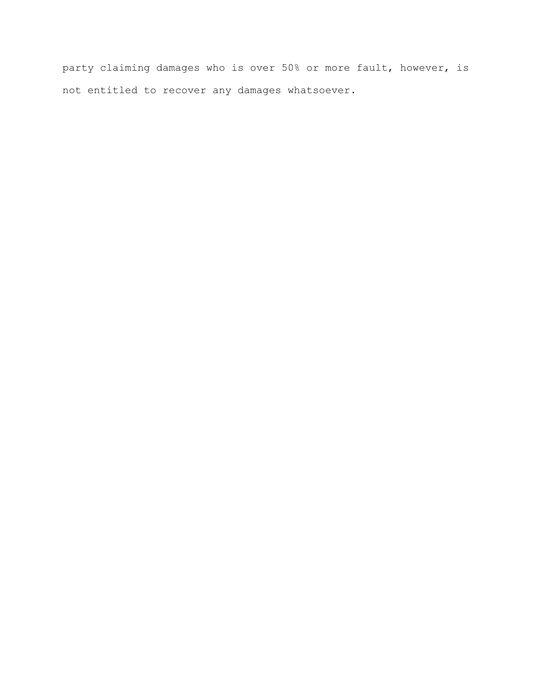party claiming damages who is over 50% or more fault, however, is not entitled to recover any damages whatsoever.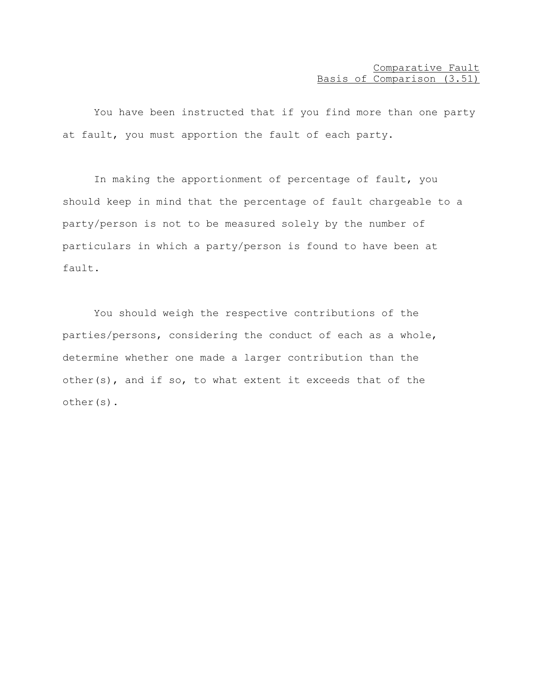You have been instructed that if you find more than one party at fault, you must apportion the fault of each party.

In making the apportionment of percentage of fault, you should keep in mind that the percentage of fault chargeable to a party/person is not to be measured solely by the number of particulars in which a party/person is found to have been at fault.

You should weigh the respective contributions of the parties/persons, considering the conduct of each as a whole, determine whether one made a larger contribution than the other(s), and if so, to what extent it exceeds that of the other(s).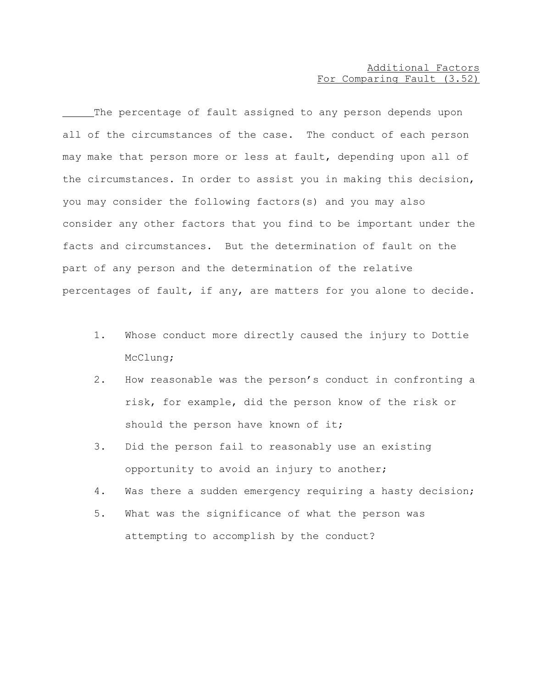## Additional Factors For Comparing Fault (3.52)

The percentage of fault assigned to any person depends upon all of the circumstances of the case. The conduct of each person may make that person more or less at fault, depending upon all of the circumstances. In order to assist you in making this decision, you may consider the following factors(s) and you may also consider any other factors that you find to be important under the facts and circumstances. But the determination of fault on the part of any person and the determination of the relative percentages of fault, if any, are matters for you alone to decide.

- 1. Whose conduct more directly caused the injury to Dottie McClung;
- 2. How reasonable was the person's conduct in confronting a risk, for example, did the person know of the risk or should the person have known of it;
- 3. Did the person fail to reasonably use an existing opportunity to avoid an injury to another;
- 4. Was there a sudden emergency requiring a hasty decision;
- 5. What was the significance of what the person was attempting to accomplish by the conduct?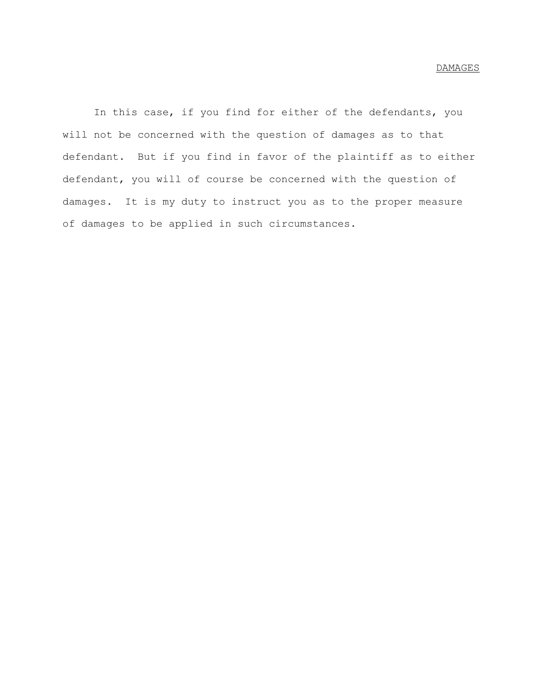In this case, if you find for either of the defendants, you will not be concerned with the question of damages as to that defendant. But if you find in favor of the plaintiff as to either defendant, you will of course be concerned with the question of damages. It is my duty to instruct you as to the proper measure of damages to be applied in such circumstances.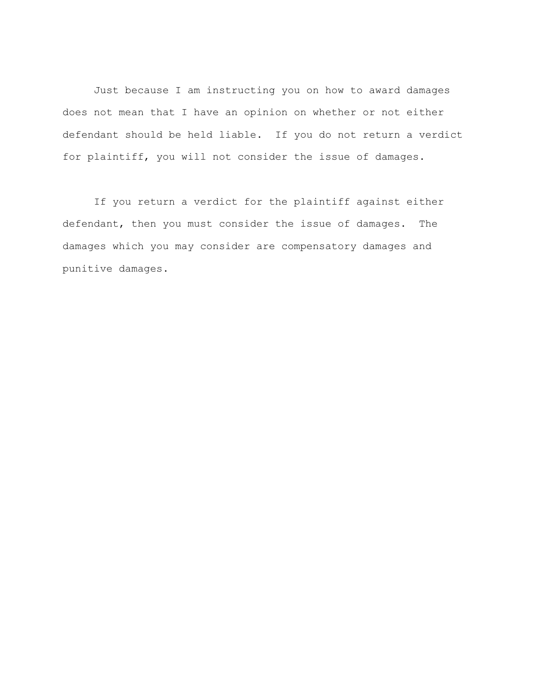Just because I am instructing you on how to award damages does not mean that I have an opinion on whether or not either defendant should be held liable. If you do not return a verdict for plaintiff, you will not consider the issue of damages.

If you return a verdict for the plaintiff against either defendant, then you must consider the issue of damages. The damages which you may consider are compensatory damages and punitive damages.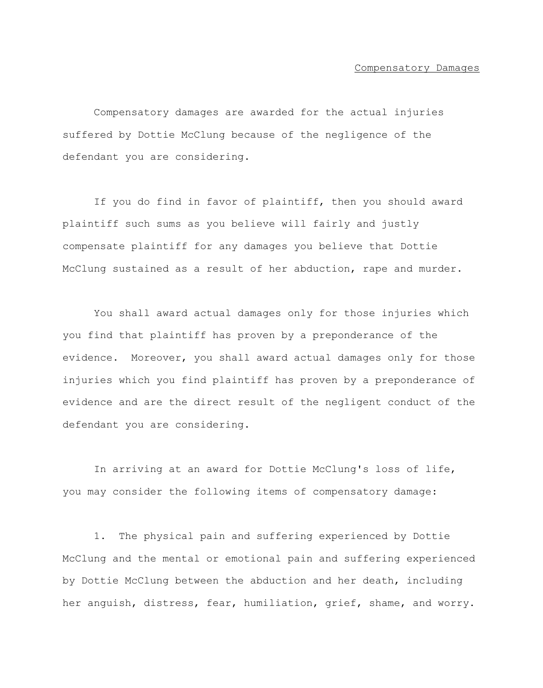#### Compensatory Damages

Compensatory damages are awarded for the actual injuries suffered by Dottie McClung because of the negligence of the defendant you are considering.

If you do find in favor of plaintiff, then you should award plaintiff such sums as you believe will fairly and justly compensate plaintiff for any damages you believe that Dottie McClung sustained as a result of her abduction, rape and murder.

You shall award actual damages only for those injuries which you find that plaintiff has proven by a preponderance of the evidence. Moreover, you shall award actual damages only for those injuries which you find plaintiff has proven by a preponderance of evidence and are the direct result of the negligent conduct of the defendant you are considering.

In arriving at an award for Dottie McClung's loss of life, you may consider the following items of compensatory damage:

1. The physical pain and suffering experienced by Dottie McClung and the mental or emotional pain and suffering experienced by Dottie McClung between the abduction and her death, including her anguish, distress, fear, humiliation, grief, shame, and worry.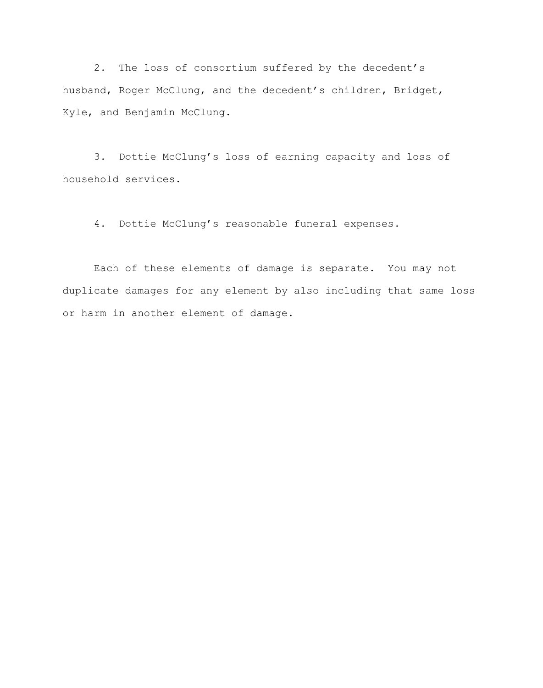2. The loss of consortium suffered by the decedent's husband, Roger McClung, and the decedent's children, Bridget, Kyle, and Benjamin McClung.

3. Dottie McClung's loss of earning capacity and loss of household services.

4. Dottie McClung's reasonable funeral expenses.

Each of these elements of damage is separate. You may not duplicate damages for any element by also including that same loss or harm in another element of damage.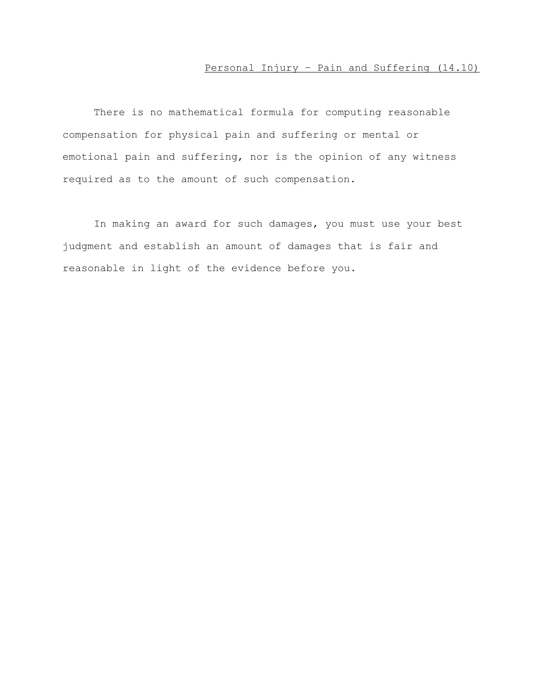# Personal Injury – Pain and Suffering (14.10)

There is no mathematical formula for computing reasonable compensation for physical pain and suffering or mental or emotional pain and suffering, nor is the opinion of any witness required as to the amount of such compensation.

In making an award for such damages, you must use your best judgment and establish an amount of damages that is fair and reasonable in light of the evidence before you.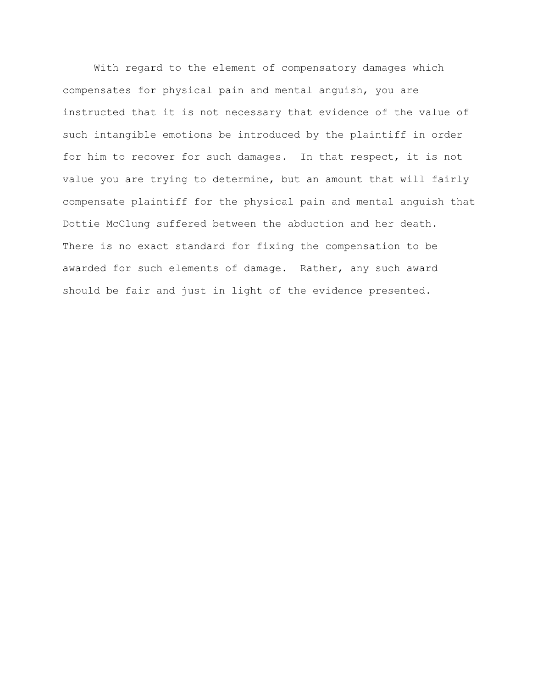With regard to the element of compensatory damages which compensates for physical pain and mental anguish, you are instructed that it is not necessary that evidence of the value of such intangible emotions be introduced by the plaintiff in order for him to recover for such damages. In that respect, it is not value you are trying to determine, but an amount that will fairly compensate plaintiff for the physical pain and mental anguish that Dottie McClung suffered between the abduction and her death. There is no exact standard for fixing the compensation to be awarded for such elements of damage. Rather, any such award should be fair and just in light of the evidence presented.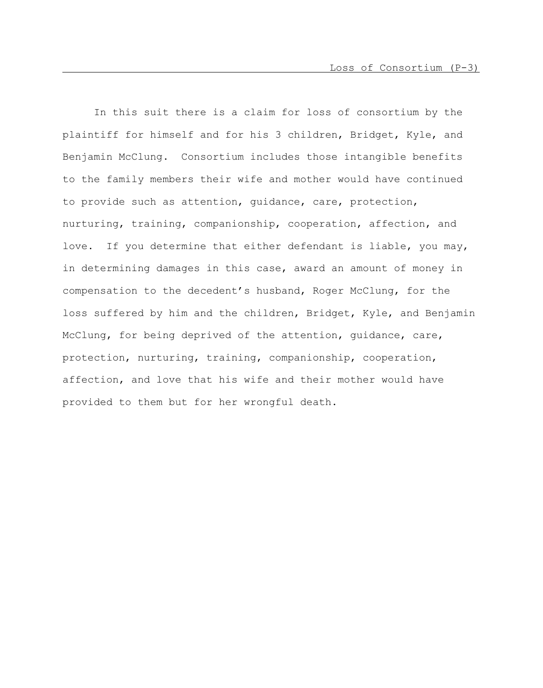In this suit there is a claim for loss of consortium by the plaintiff for himself and for his 3 children, Bridget, Kyle, and Benjamin McClung. Consortium includes those intangible benefits to the family members their wife and mother would have continued to provide such as attention, guidance, care, protection, nurturing, training, companionship, cooperation, affection, and love. If you determine that either defendant is liable, you may, in determining damages in this case, award an amount of money in compensation to the decedent's husband, Roger McClung, for the loss suffered by him and the children, Bridget, Kyle, and Benjamin McClung, for being deprived of the attention, guidance, care, protection, nurturing, training, companionship, cooperation, affection, and love that his wife and their mother would have provided to them but for her wrongful death.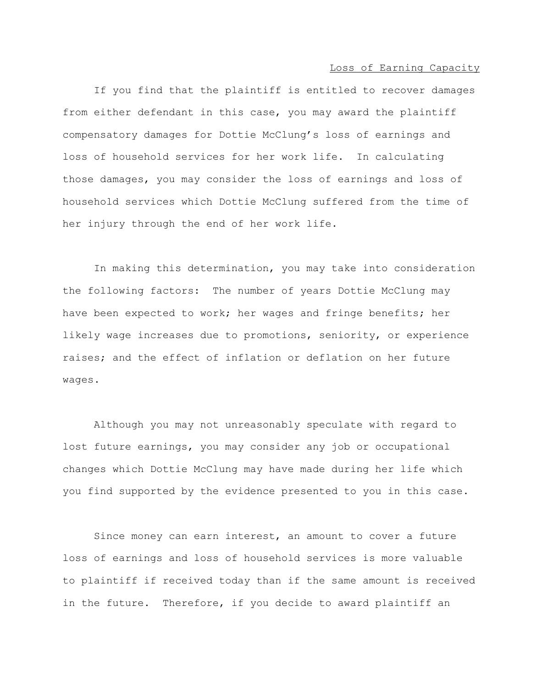Loss of Earning Capacity

If you find that the plaintiff is entitled to recover damages from either defendant in this case, you may award the plaintiff compensatory damages for Dottie McClung's loss of earnings and loss of household services for her work life. In calculating those damages, you may consider the loss of earnings and loss of household services which Dottie McClung suffered from the time of her injury through the end of her work life.

In making this determination, you may take into consideration the following factors: The number of years Dottie McClung may have been expected to work; her wages and fringe benefits; her likely wage increases due to promotions, seniority, or experience raises; and the effect of inflation or deflation on her future wages.

Although you may not unreasonably speculate with regard to lost future earnings, you may consider any job or occupational changes which Dottie McClung may have made during her life which you find supported by the evidence presented to you in this case.

Since money can earn interest, an amount to cover a future loss of earnings and loss of household services is more valuable to plaintiff if received today than if the same amount is received in the future. Therefore, if you decide to award plaintiff an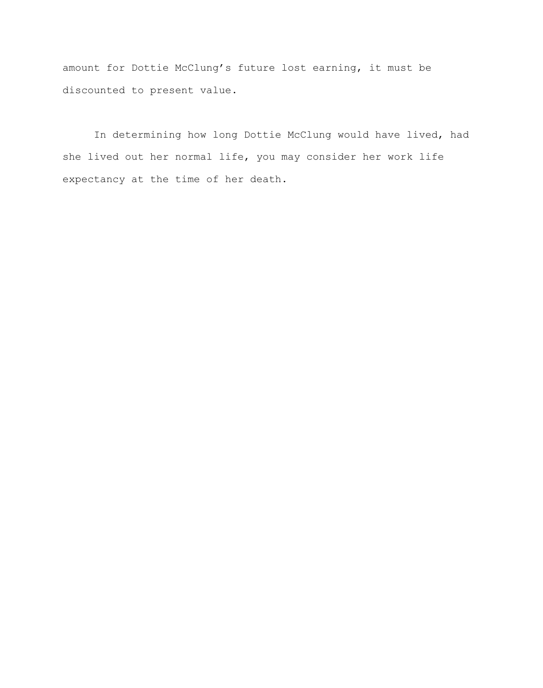amount for Dottie McClung's future lost earning, it must be discounted to present value.

In determining how long Dottie McClung would have lived, had she lived out her normal life, you may consider her work life expectancy at the time of her death.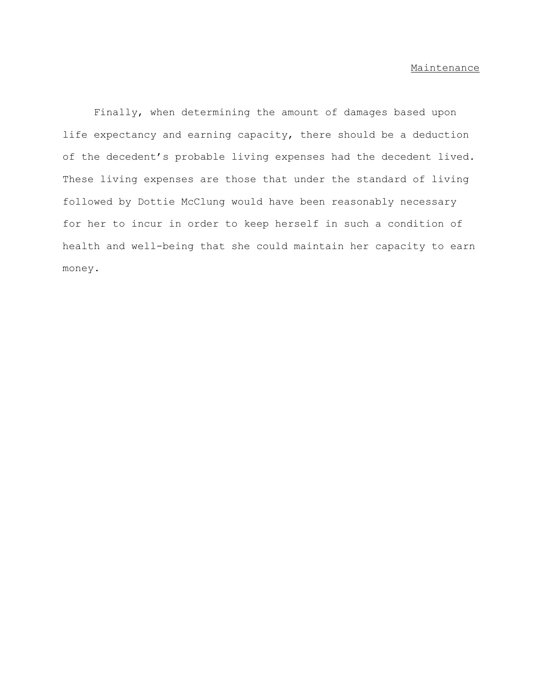### Maintenance

Finally, when determining the amount of damages based upon life expectancy and earning capacity, there should be a deduction of the decedent's probable living expenses had the decedent lived. These living expenses are those that under the standard of living followed by Dottie McClung would have been reasonably necessary for her to incur in order to keep herself in such a condition of health and well-being that she could maintain her capacity to earn money.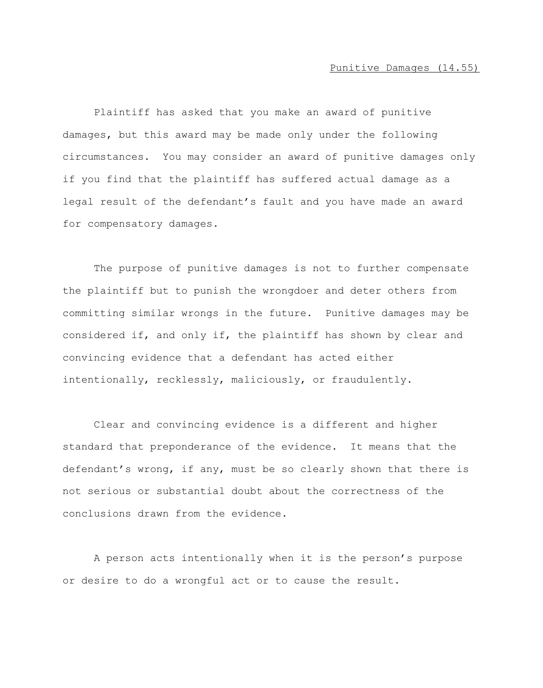Plaintiff has asked that you make an award of punitive damages, but this award may be made only under the following circumstances. You may consider an award of punitive damages only if you find that the plaintiff has suffered actual damage as a legal result of the defendant's fault and you have made an award for compensatory damages.

The purpose of punitive damages is not to further compensate the plaintiff but to punish the wrongdoer and deter others from committing similar wrongs in the future. Punitive damages may be considered if, and only if, the plaintiff has shown by clear and convincing evidence that a defendant has acted either intentionally, recklessly, maliciously, or fraudulently.

Clear and convincing evidence is a different and higher standard that preponderance of the evidence. It means that the defendant's wrong, if any, must be so clearly shown that there is not serious or substantial doubt about the correctness of the conclusions drawn from the evidence.

A person acts intentionally when it is the person's purpose or desire to do a wrongful act or to cause the result.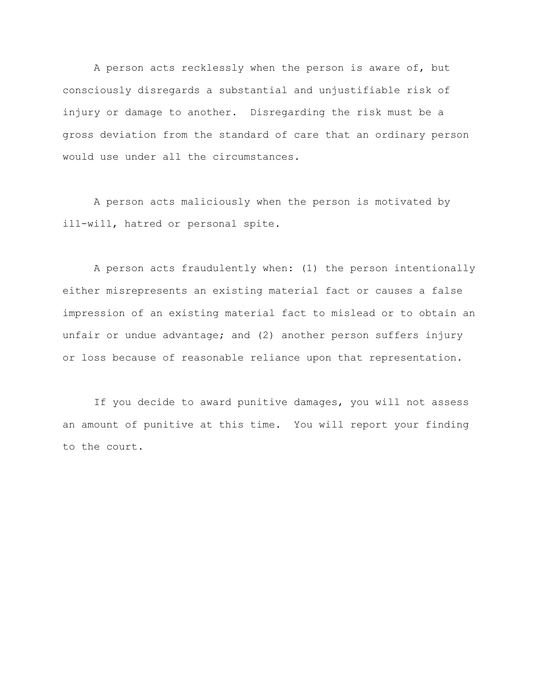A person acts recklessly when the person is aware of, but consciously disregards a substantial and unjustifiable risk of injury or damage to another. Disregarding the risk must be a gross deviation from the standard of care that an ordinary person would use under all the circumstances.

A person acts maliciously when the person is motivated by ill-will, hatred or personal spite.

A person acts fraudulently when: (1) the person intentionally either misrepresents an existing material fact or causes a false impression of an existing material fact to mislead or to obtain an unfair or undue advantage; and (2) another person suffers injury or loss because of reasonable reliance upon that representation.

If you decide to award punitive damages, you will not assess an amount of punitive at this time. You will report your finding to the court.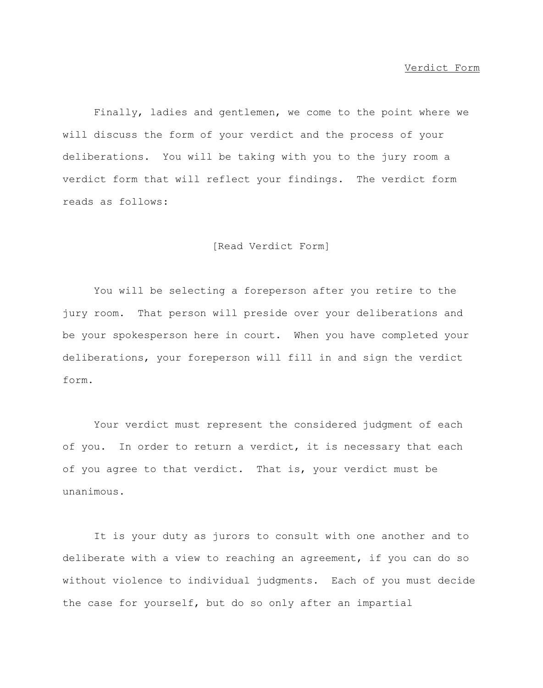#### Verdict Form

Finally, ladies and gentlemen, we come to the point where we will discuss the form of your verdict and the process of your deliberations. You will be taking with you to the jury room a verdict form that will reflect your findings. The verdict form reads as follows:

#### [Read Verdict Form]

You will be selecting a foreperson after you retire to the jury room. That person will preside over your deliberations and be your spokesperson here in court. When you have completed your deliberations, your foreperson will fill in and sign the verdict form.

Your verdict must represent the considered judgment of each of you. In order to return a verdict, it is necessary that each of you agree to that verdict. That is, your verdict must be unanimous.

It is your duty as jurors to consult with one another and to deliberate with a view to reaching an agreement, if you can do so without violence to individual judgments. Each of you must decide the case for yourself, but do so only after an impartial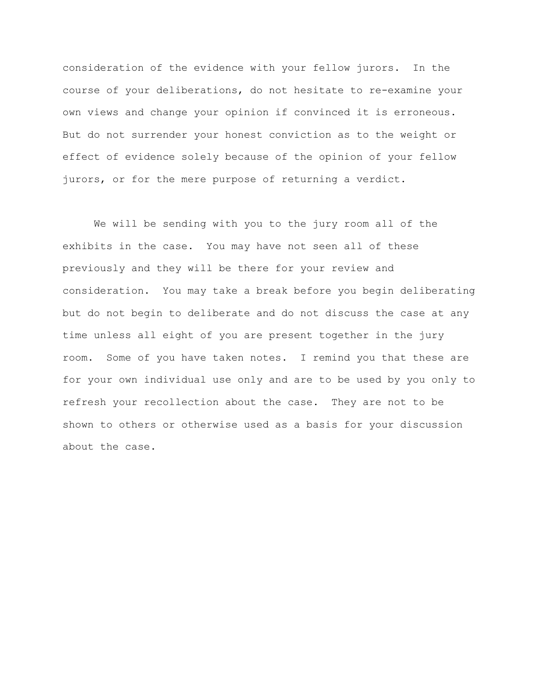consideration of the evidence with your fellow jurors. In the course of your deliberations, do not hesitate to re-examine your own views and change your opinion if convinced it is erroneous. But do not surrender your honest conviction as to the weight or effect of evidence solely because of the opinion of your fellow jurors, or for the mere purpose of returning a verdict.

We will be sending with you to the jury room all of the exhibits in the case. You may have not seen all of these previously and they will be there for your review and consideration. You may take a break before you begin deliberating but do not begin to deliberate and do not discuss the case at any time unless all eight of you are present together in the jury room. Some of you have taken notes. I remind you that these are for your own individual use only and are to be used by you only to refresh your recollection about the case. They are not to be shown to others or otherwise used as a basis for your discussion about the case.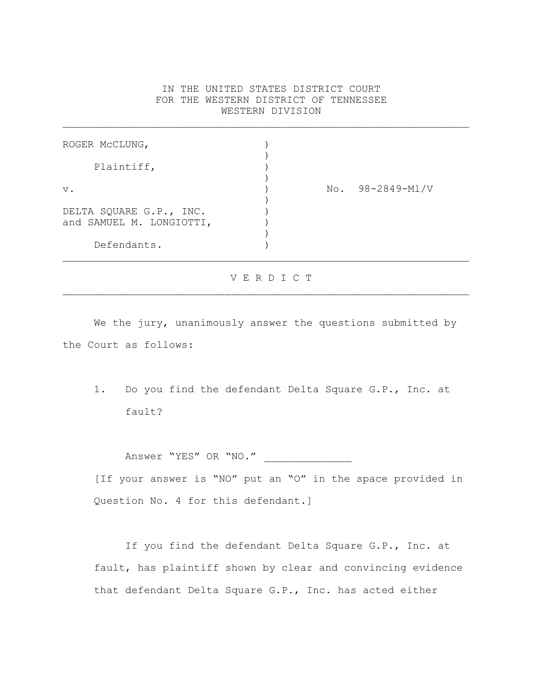## IN THE UNITED STATES DISTRICT COURT FOR THE WESTERN DISTRICT OF TENNESSEE WESTERN DIVISION

 $\mathcal{L}_\text{max} = \mathcal{L}_\text{max} = \mathcal{L}_\text{max} = \mathcal{L}_\text{max} = \mathcal{L}_\text{max} = \mathcal{L}_\text{max} = \mathcal{L}_\text{max} = \mathcal{L}_\text{max} = \mathcal{L}_\text{max} = \mathcal{L}_\text{max} = \mathcal{L}_\text{max} = \mathcal{L}_\text{max} = \mathcal{L}_\text{max} = \mathcal{L}_\text{max} = \mathcal{L}_\text{max} = \mathcal{L}_\text{max} = \mathcal{L}_\text{max} = \mathcal{L}_\text{max} = \mathcal{$ 

| ROGER MCCLUNG,                                      |                     |
|-----------------------------------------------------|---------------------|
| Plaintiff,                                          |                     |
| $V$ .                                               | 98-2849-Ml/V<br>No. |
| DELTA SQUARE G.P., INC.<br>and SAMUEL M. LONGIOTTI, |                     |
| Defendants.                                         |                     |

#### V E R D I C T

We the jury, unanimously answer the questions submitted by the Court as follows:

1. Do you find the defendant Delta Square G.P., Inc. at fault?

Answer "YES" OR "NO."

[If your answer is "NO" put an "O" in the space provided in Question No. 4 for this defendant.]

If you find the defendant Delta Square G.P., Inc. at fault, has plaintiff shown by clear and convincing evidence that defendant Delta Square G.P., Inc. has acted either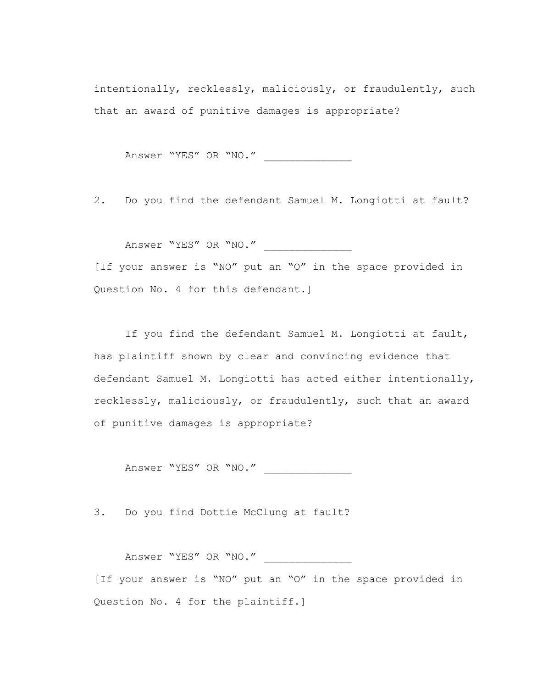intentionally, recklessly, maliciously, or fraudulently, such that an award of punitive damages is appropriate?

Answer "YES" OR "NO."

2. Do you find the defendant Samuel M. Longiotti at fault?

Answer "YES" OR "NO." \_\_\_\_\_\_\_\_\_\_\_\_\_\_

[If your answer is "NO" put an "O" in the space provided in Question No. 4 for this defendant.

If you find the defendant Samuel M. Longiotti at fault, has plaintiff shown by clear and convincing evidence that defendant Samuel M. Longiotti has acted either intentionally, recklessly, maliciously, or fraudulently, such that an award of punitive damages is appropriate?

Answer "YES" OR "NO." \_\_\_\_\_\_\_\_\_\_\_\_\_\_

3. Do you find Dottie McClung at fault?

Answer "YES" OR "NO."

[If your answer is "NO" put an "O" in the space provided in Question No. 4 for the plaintiff.]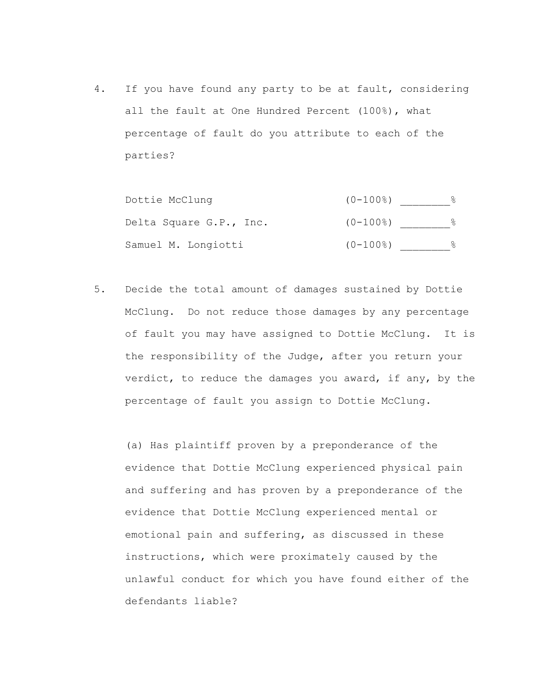4. If you have found any party to be at fault, considering all the fault at One Hundred Percent (100%), what percentage of fault do you attribute to each of the parties?

| Dottie McClung          | $(0-100$ 8) |  |
|-------------------------|-------------|--|
| Delta Square G.P., Inc. | $(0-100)$   |  |
| Samuel M. Longiotti     | $(0-100$ 8) |  |

5. Decide the total amount of damages sustained by Dottie McClung. Do not reduce those damages by any percentage of fault you may have assigned to Dottie McClung. It is the responsibility of the Judge, after you return your verdict, to reduce the damages you award, if any, by the percentage of fault you assign to Dottie McClung.

(a) Has plaintiff proven by a preponderance of the evidence that Dottie McClung experienced physical pain and suffering and has proven by a preponderance of the evidence that Dottie McClung experienced mental or emotional pain and suffering, as discussed in these instructions, which were proximately caused by the unlawful conduct for which you have found either of the defendants liable?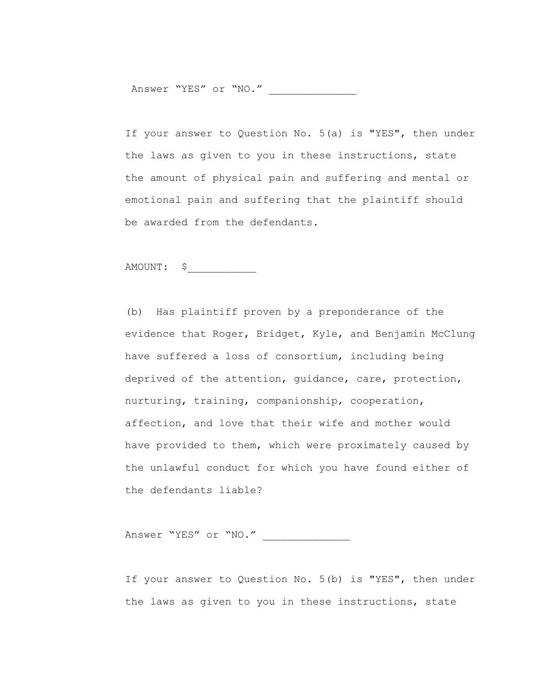Answer "YES" or "NO."

If your answer to Question No. 5(a) is "YES", then under the laws as given to you in these instructions, state the amount of physical pain and suffering and mental or emotional pain and suffering that the plaintiff should be awarded from the defendants.

# AMOUNT: \$\_\_\_\_\_\_\_\_\_\_\_

(b) Has plaintiff proven by a preponderance of the evidence that Roger, Bridget, Kyle, and Benjamin McClung have suffered a loss of consortium, including being deprived of the attention, guidance, care, protection, nurturing, training, companionship, cooperation, affection, and love that their wife and mother would have provided to them, which were proximately caused by the unlawful conduct for which you have found either of the defendants liable?

Answer "YES" or "NO."

If your answer to Question No. 5(b) is "YES", then under the laws as given to you in these instructions, state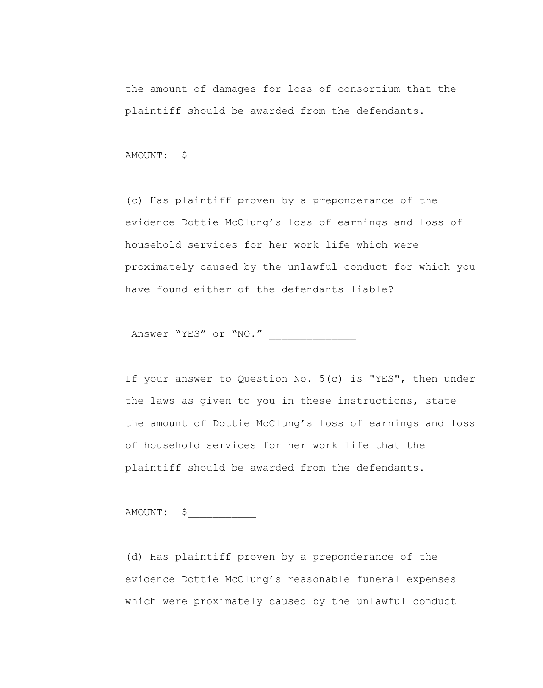the amount of damages for loss of consortium that the plaintiff should be awarded from the defendants.

AMOUNT: \$\_\_\_\_\_\_\_\_\_\_\_

(c) Has plaintiff proven by a preponderance of the evidence Dottie McClung's loss of earnings and loss of household services for her work life which were proximately caused by the unlawful conduct for which you have found either of the defendants liable?

Answer "YES" or "NO."

If your answer to Question No. 5(c) is "YES", then under the laws as given to you in these instructions, state the amount of Dottie McClung's loss of earnings and loss of household services for her work life that the plaintiff should be awarded from the defendants.

AMOUNT: \$\_\_\_\_\_\_\_\_\_\_\_

(d) Has plaintiff proven by a preponderance of the evidence Dottie McClung's reasonable funeral expenses which were proximately caused by the unlawful conduct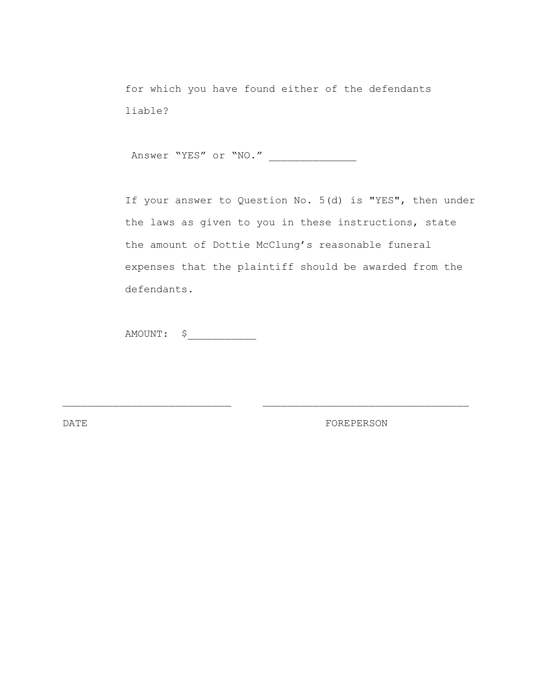for which you have found either of the defendants liable?

Answer "YES" or "NO." \_\_\_\_\_\_\_\_\_\_\_\_\_\_

If your answer to Question No. 5(d) is "YES", then under the laws as given to you in these instructions, state the amount of Dottie McClung's reasonable funeral expenses that the plaintiff should be awarded from the defendants.

 $\mathcal{L}_\text{max}$  and the contract of the contract of the contract of the contract of the contract of the contract of

AMOUNT: \$\_\_\_\_\_\_\_\_\_\_\_

DATE FOREPERSON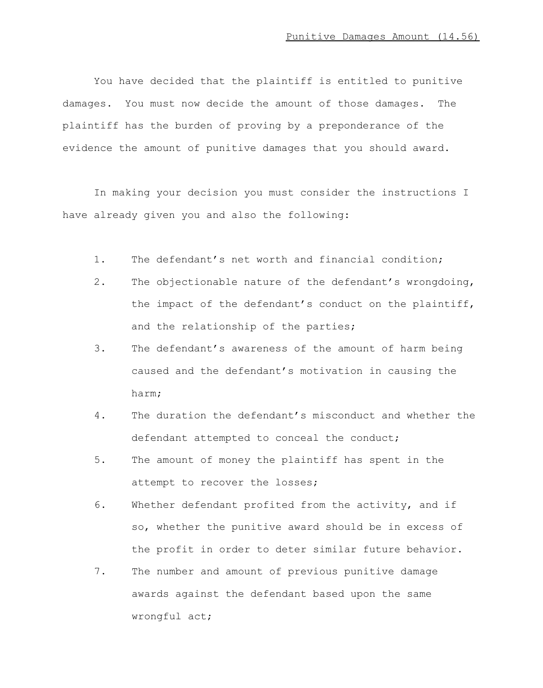You have decided that the plaintiff is entitled to punitive damages. You must now decide the amount of those damages. The plaintiff has the burden of proving by a preponderance of the evidence the amount of punitive damages that you should award.

In making your decision you must consider the instructions I have already given you and also the following:

- 1. The defendant's net worth and financial condition;
- 2. The objectionable nature of the defendant's wrongdoing, the impact of the defendant's conduct on the plaintiff, and the relationship of the parties;
- 3. The defendant's awareness of the amount of harm being caused and the defendant's motivation in causing the harm;
- 4. The duration the defendant's misconduct and whether the defendant attempted to conceal the conduct;
- 5. The amount of money the plaintiff has spent in the attempt to recover the losses;
- 6. Whether defendant profited from the activity, and if so, whether the punitive award should be in excess of the profit in order to deter similar future behavior.
- 7. The number and amount of previous punitive damage awards against the defendant based upon the same wrongful act;